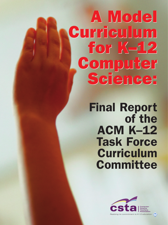# **A Model A Model Curriculum Curriculum for K–12 for K–12 Computer Computer Science: Science:**

**Final Report of the ACM K–12 Task Force Curriculum Committee**

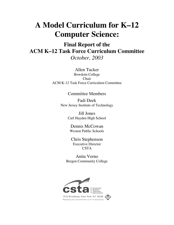# **A Model Curriculum for K–12 Computer Science:**

**Final Report of the ACM K–12 Task Force Curriculum Committee** *October, 2003*

> Allen Tucker Bowdoin College Chair ACM K-12 Task Force Curriculum Committee

# Committee Members

Fadi Deek New Jersey Institute of Technology

> Jill Jones Carl Hayden High School

Dennis McCowan Weston Public Schools

Chris Stephenson Executive Director **CSTA** 

Anita Verno Bergen Community College

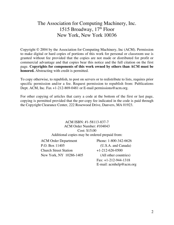# The Association for Computing Machinery, Inc. 1515 Broadway,  $17<sup>th</sup>$  Floor New York, New York 10036

Copyright © 2004 by the Association for Computing Machinery, Inc (ACM). Permission to make digital or hard copies of portions of this work for personal or classroom use is granted without fee provided that the copies are not made or distributed for profit or commercial advantage and that copies bear this notice and the full citation on the first page. **Copyrights for components of this work owned by others than ACM must be honored.** Abstracting with credit is permitted.

To copy otherwise, to republish, to post on servers or to redistribute to lists, requires prior specific permission and/or a fee. Request permission to republish from: Publications Dept. ACM, Inc. Fax +1-212-869-0481 or E-mail permissions@acm.org.

For other copying of articles that carry a code at the bottom of the first or last page, copying is permitted provided that the per-copy fee indicated in the code is paid through the Copyright Clearance Center, 222 Rosewood Drive, Danvers, MA 01923.

# ACM ISBN: #1-58113-837-7 ACM Order Number: #104043 Cost: \$15.00

Additional copies may be ordered prepaid from:

ACM Order Department Phone: 1-800-342-6626 P.O. Box 11405 (U.S.A. and Canada) Church Street Station  $+1-212-626-0500$ New York, NY 10286-1405 (All other countries)

 Fax: +1-212-944-1318 E-mail: acmhelp@acm.org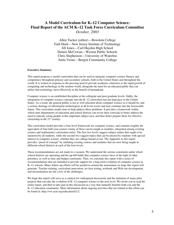## **A Model Curriculum for K–12 Computer Science: Final Report of the ACM K–12 Task Force Curriculum Committee** *October, 2003*

Allen Tucker (editor)—Bowdoin College Fadi Deek—New Jersey Institute of Technology Jill Jones—Carl Hayden High School Dennis McCowan—Weston Public Schools Chris Stephenson—University of Waterloo Anita Verno—Bergen Community College

#### **Executive Summary**

This report proposes a model curriculum that can be used to integrate computer science fluency and competency throughout primary and secondary schools, both in the United States and throughout the world. It is written in response to the pressing need to provide academic coherence to the rapid growth of computing and technology in the modern world, alongside the need for an educated public that can utilize that technology most effectively to the benefit of humankind.

Computer science is an established discipline at the collegiate and post-graduate levels. Oddly, the integration of computer science concepts into the K–12 curriculum has not kept pace in the United States. As a result, the general public is not as well educated about computer science as it should be, and a serious shortage of information technologists at all levels exists and may continue into the foreseeable future. This curriculum model aims to help address these problems. It provides a framework within which state departments of education and school districts can revise their curricula to better address the need to educate young people in this important subject area, and thus better prepare them for effective citizenship in the  $21<sup>st</sup>$  century.

This curriculum model provides a four-level framework for computer science, and contains roughly the equivalent of four half-year courses (many of these can be taught as modules, integrated among existing science and mathematics curriculum units). The first two levels suggest subject matter that ought to be mastered by all students, while the second two suggest topics that can be elected by students with special interest in computer science, whether they are college-bound or not. The Appendix to this report provides "proof of concept" by outlining existing courses and modules that are now being taught in different school districts at each of the four levels.

These recommendations are not made in a vacuum. We understand the serious constraints under which school districts are operating and the up-hill battle that computer science faces in the light of other priorities, as well as time and budget constraints. Thus, we conclude this report with a series of recommendations that are intended to provide support for a long-term evolution of computer science in K–12 schools. Many follow-up efforts will be needed to sustain the momentum we hope this report will generate. Teacher training, curriculum innovation, in-class testing, textbook and Web site development, and dissemination are but a few of the challenges.

We hope this report will serve as a catalyst for widespread discussions and the initiation of many pilot projects that can take the evolution of K–12 computer science to the next level. We invite you to read the entire report, and then to take part in this discussion in a way that mutually benefits both you and the K–12 education community. More information about ongoing activities that are related to this effort can be found at: http://ww.acm.org/education/k12/.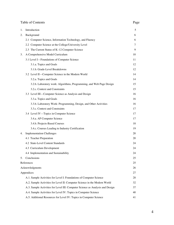| Table of Contents | Page |
|-------------------|------|
|-------------------|------|

| I |
|---|
|---|

| 1. | Introduction                                                                  | 5  |
|----|-------------------------------------------------------------------------------|----|
| 2. | Background                                                                    | 6  |
|    | 2.1 Computer Science, Information Technology, and Fluency                     | 6  |
|    | 2.2 Computer Science at the College/University Level                          | 7  |
|    | 2.3 The Current Status of K-12 Computer Science                               | 9  |
| 3. | A Comprehensive Model Curriculum                                              | 10 |
|    | 3.1 Level I-Foundations of Computer Science                                   | 11 |
|    | 3.1.a. Topics and Goals                                                       | 12 |
|    | 3.1.b. Grade-Level Breakdowns                                                 | 12 |
|    | 3.2 Level II-Computer Science in the Modern World                             | 14 |
|    | 3.2.a. Topics and Goals                                                       | 14 |
|    | 3.2.b. Laboratory work: Algorithms, Programming, and Web Page Design          | 15 |
|    | 3.2.c. Context and Constraints                                                | 15 |
|    | 3.3 Level III-Computer Science as Analysis and Design                         | 16 |
|    | 3.3.a. Topics and Goals                                                       | 16 |
|    | 3.3.b. Laboratory Work: Programming, Design, and Other Activities             | 16 |
|    | 3.3.c. Context and Constraints                                                | 17 |
|    | 3.4 Level IV-Topics in Computer Science                                       | 17 |
|    | 3.4.a. AP Computer Science                                                    | 17 |
|    | 3.4.b. Projects-Based Courses                                                 | 18 |
|    | 3.4.c. Courses Leading to Industry Certification                              | 19 |
| 4. | <b>Implementation Challenges</b>                                              | 20 |
|    | 4.1 Teacher Preparation                                                       | 20 |
|    | 4.2 State-Level Content Standards                                             | 24 |
|    | 4.3 Curriculum Development                                                    | 24 |
|    | 4.4 Implementation and Sustainability                                         | 24 |
| 5. | Conclusions                                                                   | 25 |
|    | References                                                                    | 25 |
|    | Acknowledgments                                                               | 26 |
|    | Appendices                                                                    | 27 |
|    | A.1. Sample Activities for Level I: Foundations of Computer Science           | 28 |
|    | A.2. Sample Activities for Level II: Computer Science in the Modern World     | 32 |
|    | A.3. Sample Activities for Level III: Computer Science as Analysis and Design | 37 |
|    | A.4. Sample Activities for Level IV: Topics in Computer Science               | 40 |
|    | A.5. Additional Resources for Level IV: Topics in Computer Science            | 41 |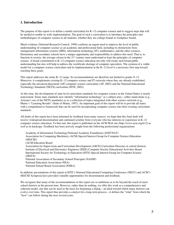#### **1. Introduction**

The purpose of this report is to define a model curriculum for K–12 computer science and to suggest steps that will be needed to enable its wide implementation. The goal of such a curriculum is to introduce the principles and methodologies of computer science to all students, whether they are college bound or workplace bound.

Much evidence (National Research Council, 1999) confirms an urgent need to improve the level of public understanding of computer science as an academic and professional field, including its distinctions from management information systems (MIS), information technology (IT), mathematics, and the other sciences. Elementary and secondary schools have a unique opportunity and responsibility to address this need. That is, to function in society, the average citizen in the  $21<sup>st</sup>$  century must understand at least the principles of computer science. A broad commitment to K–12 computer science education not only will create such broad public understanding but also will help to address the worldwide shortage of computer specialists. The creation of a viable model for a computer science curriculum and its implementation at the K–12 level is a necessary first step toward reaching these goals.

This report addresses the entire K–12 range. Its recommendations are therefore not limited to grades 9–12. Moreover, it complements existing K–12 computer science and IT curricula where they are already established, especially the advanced placement (AP) computer science curriculum (AP, 2002) and the National Educational Technology Standards (NETS) curriculum (ISTE, 2002).

At this time, the development of state-level curriculum standards for computer science in the United States is nearly nonexistent. Some state standards now identify "information technology" as a subject area—either stand-alone (e.g., Arizona's use of the NETS standards) or as a collection of topics integrated with other science curricula (e.g., Maine's "Learning Results" (State of Maine, 1997). An important goal of this report will be to provide all states with a comprehensive framework that can be used for incorporating computer science into their existing curriculum standards.

All drafts of this report have been informed by feedback from many sources; we hope that this final draft will receive widespread dissemination and continued scrutiny from everyone who has interests or experience in K–12 computer science education. To that end, this report is published on the ACM Web site (http://www.acm.org/k12) as well as in hardcopy. Feedback has been actively sought from the following professional organizations:

Academy of Information Technology/National Academy Foundation (AOIT/NAT) Association for Computing Machinery (ACM) Special Interest Group for Computer Science Education (SIGCSE) (ACM Education Board Association for Supervision and Curriculum Development (ASCD) Curriculum Directors in school districts Institute of Electrical and Electronics Engineers (IEEE) Computer Society Educational Activities Board International Society for Technology in Education (ISTE) Special Interest Group for Computer Science (SIGCS) National Association of Secondary School Principals (NASSP) National Education Association (NEA) National School Board Association (NSBA)

In addition, presentations of this report at ISTE's National Educational Computing Conference (NECC) and ACM's SIGCSE Symposia have provided valuable opportunities for dissemination and feedback.

We recognize that many of the recommendations in this report are so ambitious as to be beyond the reach of most school districts at the present time. However, rather than do nothing, we offer this work as a comprehensive and coherent model, one that can be used as the basis for beginning a dialog—an ideal toward which many districts can evolve over time. This report thus provides a catalyst for a long-term process—it defines the "what" from which the "how" can follow during the next several years.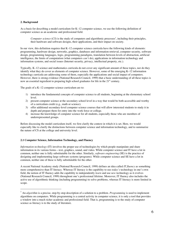#### **2. Background**

As a basis for describing a model curriculum for K–12 computer science, we use the following definition of computer science as an academic and professional field.

Computer science (CS) is the study of computers and algorithmic processes<sup>1</sup>, including their principles, their hardware and software designs, their applications, and their impact on society.

In our view, this definition requires that K–12 computer science curricula have the following kinds of elements: programming, hardware design, networks, graphics, databases and information retrieval, computer security, software design, programming languages, logic, programming paradigms, translation between levels of abstraction, artificial intelligence, the limits of computation (what computers *can't* do), applications in information technology and information systems, and social issues (Internet security, privacy, intellectual property, etc.).

Typically, K–12 science and mathematics curricula do not cover any significant amount of these topics, nor do they identify what they do cover as elements of computer science. However, some of the emerging K–12 information technology curricula are addressing some of them, especially the applications and social impact of computers. However, there is strong evidence (National Research Council, 1999) that a basic understanding of all these topics is now an essential ingredient to preparing high school graduates for life in the  $21<sup>st</sup>$  century.

The goals of a K–12 computer science curriculum are to:

- 1) introduce the fundamental concepts of computer science to all students, beginning at the elementary school level.
- 2) present computer science at the secondary school level in a way that would be both accessible and worthy of a curriculum credit (e.g., math or science).
- 3) offer additional secondary-level computer science courses that will allow interested students to study it in depth and prepare them for entry into the work force or college.
- 4) increase the knowledge of computer science for all students, especially those who are members of underrepresented groups.

Before discussing the model curriculum itself, we first clarify the context in which it is set. Here, we would especially like to clarify the distinctions between computer science and information technology, and to summarize the nature of CS at the college and university level.

#### **2.1 Computer Science, Information Technology, and Fluency**

*Information technology* (IT) involves the proper use of technologies by which people manipulate and share information in its various forms—text, graphics, sound, and video. While computer science and IT have a lot in common, neither one is fully substitutable for the other. Similarly, *software engineering* (SE) is the practice of designing and implementing large software systems (programs). While computer science and SE have a lot in common, neither one of these is fully substitutable for the other.

A recent National Academy study (National Research Council, 1999) defines an idea called *IT fluency* as something more comprehensive than IT literacy. Whereas IT literacy is the capability to use *today's* technology in one's own field, the notion of IT fluency adds the capability to independently *learn* and use *new* technology as it evolves (National Research Council, 1999) throughout one's professional lifetime. Moreover, IT fluency also includes the active use of algorithmic thinking (including programming) to solve problems, whereas IT literacy is more limited in scope.

<sup>&</sup>lt;sup>1</sup> An *algorithm* is a precise, step-by-step description of a solution to a problem. *Programming* is used to implement algorithms on computers. While programming is a central activity in computer science, it is only a tool that provides a window into a much richer academic and professional field. That is, programming is to the study of computer science as literacy is to the study of literature.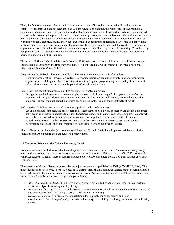Thus, the field of *computer science* sits in a continuum—some of its topics overlap with IT, while some are completely different and are not relevant to an IT curriculum. For example, the complexity of algorithms is a fundamental idea in computer science but would probably not appear in an IT curriculum. While IT is an applied field of study, driven by the practical benefits of its knowledge, computer science has scientific and mathematical, as well as practical, dimensions. Some of the practical dimensions of computer science are shared with IT, such as working with text, graphics, sound, and video. But while IT concentrates on learning how to use and apply these tools, computer science is concerned about learning how these tools are designed and deployed. This latter concern exposes students to the scientific and mathematical theory that underlies the practice of computing. Therefore, any comprehensive K–12 computer science curriculum will necessarily have topics that are distinct from those that normally appear in an IT curriculum.

The idea of IT fluency (National Research Council, 1999) was proposed as a minimum standard that all college students should achieve by the time they graduate. A "fluent" graduate would master IT on three orthogonal axes—*concepts*, *capabilities*, and *skills*.

*Concepts* are the 10 basic ideas that underlie modern computers, networks, and information: Computer organization, information systems, networks, digital representation of information, information organization, modeling and abstraction, algorithmic thinking and programming, universality, limitations of information technology, and societal impact of information technology.

*Capabilities* are the 10 fundamental abilities for using IT to solve a problem: Engage in sustained reasoning, manage complexity, test a solution, manage faulty systems and software, organize and navigate information structures and evaluate information, collaborate, communicate to other audiences, expect the unexpected, anticipate changing technologies, and think abstractly about IT.

*Skills* are the 10 abilities to use today's computer applications in one's own work:

Set up a personal computer, use basic operating system features, use a word processor and create a document, use a graphics or artwork package to create illustrations, slides, and images, connect a computer to a network, use the Internet to find information and resources, use a computer to communicate with others, use a spreadsheet to model simple processes or financial tables, use a database system to set up and access information, and use instructional materials to learn about new applications or features.

Many colleges and universities (e.g., see National Research Council, 1999) have implemented these or similar standards and are expecting their graduates to achieve them.

#### **2.2 Computer Science at the College/University Level**

Computer science is well developed at the college and university level. In the United States alone, nearly every undergraduate college offers a major in computer science, and more than 100 universities offer PhD programs in computer science. Together, these programs produce about 45,000 baccalaureate and 850 PhD degrees each year (Taulbee, 2002).

The current model for college computer science major programs was published in 2001 (ACM/IEEE, 2001). This model identifies the following "core" subjects in 13 distinct areas that all computer science major programs should cover. Altogether, this material covers the equivalent of seven (7) one-semester courses, or 280 lecture hours (total lecture hours for each subject area are given in parentheses).

- *Algorithms and Complexity* (31): analysis of algorithms, divide-and-conquer strategies, graph algorithms, distributed algorithms, computability theory
- *Architecture* (36): digital logic, digital systems, data representation, machine language, memory systems, I/O and communications, CPU design, networks, distributed computing
- *Discrete Structures* (43): functions, sets, relations, logic, proof, counting, graphs and trees
- *Graphics and Visual Computing* (3): fundamental techniques, modeling, rendering, animation, virtual reality, vision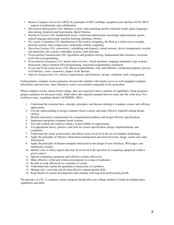- *Human-Computer Interaction* (HCI) (8): principles of HCI, building a graphical user interface (GUI), HCI aspects of multimedia, and collaboration
- *Information Management* (10): database systems, data modeling and the relational model, query languages, data mining, hypertext and hypermedia, digital libraries
- *Intelligent Systems* (10): fundamental issues, search and optimization, knowledge representation, agents, natural language processing, machine learning, planning, robotics
- *Net-centric Computing* (15): Introduction to Net-centric computing, the Web as a client-server example, network security, data compression, multimedia, mobile computing
- *Operating Systems* (18): concurrency, scheduling and dispatch, virtual memory, device management, security and protection, file systems, embedded systems, fault tolerance
- *Programming Fundamentals* (38): algorithms and problem-solving, fundamental data structures, recursion, event-driven programming
- *Programming Languages* (21): history and overview, virtual machines, language translation, type systems, abstraction, object-oriented (OO) programming, functional programming, translation
- *Social and Professional Issues* (16): ethical responsibilities, risks and liabilities, intellectual property, privacy, civil liberties, crime, economics, impact of the Internet
- *Software Engineering* (31): metrics, requirements, specifications, design, validation, tools, management

Undergraduate computer science programs also provide students with regular access to well-equipped computer laboratories and networks, since laboratory work is an essential component of the curriculum.

When computer science majors finish college, they are expected to have a number of capabilities. Some programs prepare graduates for advanced study, while others (the majority) prepare them for entry into the work force. For workforce entry, a graduate should (ACM/IEEE, 2001):

- 1. Understand the essential facts, concepts, principles, and theories relating to computer science and software applications.
- 2. Use this understanding to design computer-based systems and make effective tradeoffs among design choices.
- 3. Identify and analyze requirements for computational problems and design effective specifications.
- 4. Implement (program) computer-based systems.
- 5. Test and evaluate the extent to which a system fulfills its requirements.
- 6. Use appropriate theory, practice, and tools for system specification, design, implementation, and evaluation.
- 7. Understand the social, professional, and ethical issues involved in the use of computer technology.
- 8. Apply the principles of effective information management and retrieval to text, image, sound, and video information.
- 9. Apply the principles of human-computer interaction to the design of user interfaces, Web pages, and multimedia systems.
- 10. Identify risks or safety aspects that may be involved in the operation of computing equipment within a given context.
- 11. Operate computing equipment and software systems effectively.
- 12. Make effective verbal and written presentations to a range of audiences.
- 13. Be able to work effectively as a member of a team.
- 14. Understand and explain the quantitative dimensions of a problem.
- 15. Manage one's own time and develop effective organizational skills.
- 16. Keep abreast of current developments and continue with long-term professional growth.

The presence of a K–12 computer science program should allow pre-college students to begin developing these capabilities and skills.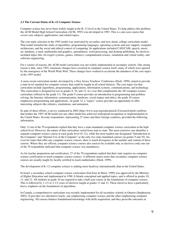#### **2.3 The Current Status of K–12 Computer Science**

Computer science has never been widely taught at the K–12 level in the United States. To help address this problem, the ACM Model High School Curriculum (ACM, 1993) was developed in 1993. This is a one-year course that covers core subjects, applications, and related topics.

The core topic selection in the 1993 model was motivated by an earlier, and now dated, college curriculum model. That model included the study of algorithms, programming languages, operating systems and user support, computer architecture, and the social and ethical context of computing. Its applications included CAD/CAM, speech, music, art, database, e-mail, multimedia and graphics, spreadsheets, word processing, and desktop publishing. Its electives included topics like AI (expert systems, games, robotics), computational science, simulation and virtual reality, and software engineering.

For a variety of reasons, the ACM model curriculum was not widely implemented in secondary schools. One strong reason is that, since 1993, enormous changes have occurred in computer science itself, many of which were spurred by the emergence of the World Wide Web. These changes have worked to accelerate the datedness of the core topics in the 1993 model.

A more recent curriculum model, developed by a New Jersey Teachers' Conference (Deek, 1999), aimed to provide a state-level standard for computer science that could be taught in all school districts. The core topics for that curriculum include algorithms, programming, applications, information systems, communications, and technology. This curriculum is designed for use in grades 9, 10, and 12, in a way that complements the AP computer science curriculum (offered in the grade 11). The grade 9 course provides an introduction to programming and problem solving, the Internet, information, communication, hardware, social impact and ethics; the grade 10 course emphasizes programming and applications. At grade 12, a "topics" course provides an opportunity to offer interesting subjects like robotics, simulations, and animation.

In spite of these efforts, a survey conducted in 2002 (http://www.acm.org/education/k12/research.html) confirms that neither the 1993 ACM model nor any other model has achieved widespread recognition or implementation in the United States. Seventy respondents, representing 27 states and three foreign countries, provided the following information.

Only 12 out of the 70 respondents replied that they have a state-mandated computer science curriculum at the high school level. However, the nature of that curriculum varied from state to state. The most extensive one identifies a separate computer science course at each grade level (9–12), while the most modest one designated "Introduction to the Computer" and "Internet Use of the Computer" as the only two state-mandated courses (at grades 9 and 10). So, even for states that offer any computer science courses, there is much divergence in the number and content of these courses. Where they are offered, computer science courses also seem to be available only as electives (only one out of the 70 respondents indicated that computer science was mandatory).

As for teacher preparation and certification, 27 of the 70 respondents replied that their state requires no computer science certification to teach computer science courses. A different source notes that secondary computer science courses are usually taught by faculty certified to teach mathematics (Deek, 1999).

The development of K–12 computer science is making more headway internationally than in the United States.

In Israel, a secondary school computer science curriculum (Gal-Ezer & Harel, 1999) was approved by the Ministry of Higher Education and implemented in 1998. It blends conceptual and applied topics, and is offered in grades 10, 11, and 12. All students in grade 10 are required to take a half-year course in the foundations of computer science. This is followed by 1-1/2 or 2-1/2 years of electives taught at grades 11 and 12. These electives have a particularly heavy emphasis on the foundations of algorithms.

In Canada, a comprehensive curriculum was recently implemented for all secondary schools in Ontario (Stephenson, 2002). It provides two alternative tracks, one emphasizing computer science and the other emphasizing computer engineering. All courses balance foundational knowledge with skills acquisition, and they prescribe outcomes at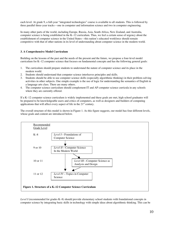each level. At grade 9, a full-year "integrated technologies" course is available to all students. This is followed by three parallel three-year tracks—one in computer and information science and two in computer engineering.

In many other parts of the world, including Europe, Russia, Asia, South Africa, New Zealand, and Australia, computer science is being established in the K–12 curriculum. Thus, we feel a certain sense of urgency about the establishment of computer science in the United States—this nation's educated workforce should remain competitive with that of other nations in its level of understanding about computer science in the modern world.

#### **3. A Comprehensive Model Curriculum**

Building on the lessons of the past and the needs of the present and the future, we propose a four-level model curriculum for K–12 computer science that focuses on fundamental concepts and has the following general goals:

- 1. The curriculum should prepare students to understand the nature of computer science and its place in the modern world.
- 2. Students should understand that computer science interleaves principles and skills.
- 3. Students should be able to use computer science skills (especially algorithmic thinking) in their problem-solving activities in other subjects. One simple example is the use of logic for understanding the semantics of English in a language arts class. There are many others.
- 4. The computer science curriculum should complement IT and AP computer science curricula in any schools where they are currently offered.

If a K–12 computer science curriculum is widely implemented and these goals are met, high school graduates will be prepared to be knowledgeable users and critics of computers, as well as designers and builders of computing applications that will affect every aspect of life in the  $21<sup>st</sup>$  century.

The overall structure of this model is shown in Figure 1. As this figure suggests, our model has four different levels, whose goals and content are introduced below.



*Level I* (recommended for grades K–8) should provide elementary school students with foundational concepts in computer science by integrating basic skills in technology with simple ideas about algorithmic thinking. This can be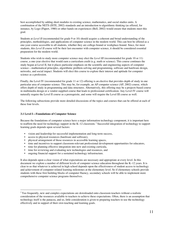best accomplished by adding short modules to existing science, mathematics, and social studies units. A combination of the NETS (ISTE, 2002) standards and an introduction to algorithmic thinking (as offered, for instance, by Logo (Papert, 1980) or other hands-on experiences (Bell, 2002) would ensure that students meet this goal.

Students at *Level II* (recommended for grade 9 or 10) should acquire a coherent and broad understanding of the principles, methodologies, and applications of computer science in the modern world. This can best be offered as a one-year course accessible to all students, whether they are college-bound or workplace-bound. Since, for most students, this *Level II* course will be their last encounter with computer science, it should be considered essential preparation for the modern world.

Students who wish to study more computer science may elect the *Level III* (recommended for grade 10 or 11) course, a one-year elective that would earn a curriculum credit (e.g. math or science). This course continues the study begun at Level II, but it places particular emphasis on the scientific and engineering aspects of computer science—mathematical principles, algorithmic problem-solving and programming, software and hardware design, networks, and social impact. Students will elect this course to explore their interest and aptitude for computer science as a profession.

Finally, the Level IV (recommended for grade 11 or 12) offering is an elective that provides depth of study in one particular area of computer science. This may be, for example, an AP computer science (AP, 2002) course, which offers depth of study in programming and data structures. Alternatively, this offering may be a projects-based course in multimedia design or a vendor-supplied course that leads to professional certification. Any Level IV course will naturally require the Level II course as a prerequisite, and some will require the Level III course as well.

The following subsections provide more detailed discussions of the topics and courses that can be offered at each of these four levels.

#### **3.1 Level I—Foundations of Computer Science**

Because the foundations of computer science have a major information technology component, it is important here to reaffirm the need for technology support in the K–12 classroom.<sup>2</sup> Successful integration of technology to support learning goals depends upon several factors:

- vision and leadership for successful implementation and long-term success,
- access to physical resources (hardware and software),
- physical arrangement of those resources in accessible learning spaces,
- time and incentives to support classroom-relevant professional development opportunities for educators,
- time for planning effective integration into new and existing curricula,
- time for reviewing and evaluating new technologies and resources, and
- ongoing financial support for a sustained technology infrastructure.

It also depends upon a clear vision of what expectations are necessary and appropriate at every level. In this document we explore a number of different levels of computer science education throughout the K–12 years. It is clear to us that whatever is achieved in high school depends upon the effectiveness of student access to technology and achievement of computer-related learning milestones at the elementary level. So if elementary schools provide students with these first building blocks of computer fluency, secondary schools will be able to implement more comprehensive computer science programs themselves.

 $\frac{1}{2}$ <sup>2</sup> Too frequently, new and complex expectations are downloaded onto classroom teachers without a realistic consideration of the resources available to teachers to achieve these expectations. Often, there is an assumption that technology itself is the panacea, and so, little consideration is given to preparing teachers to use the technology effectively and in support of their own teaching and learning goals.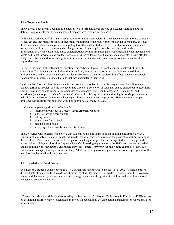#### **3.1.a. Topics and Goals**

The National Educational Technology Standards (NETS) (ISTE, 2002) provide an excellent starting place for defining requirements for elementary student preparedness in computer science.<sup>3</sup>

To live and work successfully in an increasingly information-rich society, K–8 students must learn to use computers effectively and incorporate the idea of algorithmic thinking into their daily problem-solving vocabulary. To ensure these outcomes, schools must provide computing tools that enable students to solve problems and communicate using a variety of media; to access and exchange information; compile, organize, analyze, and synthesize information; draw conclusions and make generalizations from information gathered; understand what they read and locate additional information as needed; become self-directed learners; collaborate and cooperate in team efforts; analyze a problem and develop an algorithmic solution; and interact with others using computers in ethical and appropriate ways.

Except in the context of mathematics education, this particular topic area is not a conventional part of the K–8 curriculum. That is, the concept of algorithm is used only to teach students the steps of arithmetic (addition, multiplication) and other basic mathematical ideas. However, the notion of algorithm affects students in a much richer array of problem-solving situations that they encounter in their lives.

In its simplest form, an algorithm is a method for solving a problem in a step-by-step manner. So children learn about algorithmic problem solving whenever they discover a collection of steps that can be carried out to accomplish a task. These steps should accommodate unusual contingencies (using conditional, or "if" statements) and repetitions (using loops, or "while" statements). Viewed in this way, algorithmic thinking is not simply a means to help children understand mathematical concepts—it has a much richer range of uses. Here are a few example problems that illustrate this point and would be appropriate at the K–8 level.

Give a complete algorithmic definition for:

- 1. finding your way out of a maze (Turtle graphics, robotics)
- 2. a dog retrieving a thrown ball
- 3. baking cookies
- 4. going home from school
- 5. making a sand castle
- 6. arranging a list of words in alphabetical order.

Thus, we agree with teachers who believe that students at this age ought to begin thinking algorithmically as a general problem-solving strategy. What children do, not what they see, may have the greatest impact on learning at the K–8 level. Thus, it makes sense to develop more teaching strategies that encourage students to engage in the process of visualizing an algorithm. Seymour Papert's pioneering experiments in the 1980s corroborate this belief, and his seminal work *Mindstorms* and related curricula (Papert, 1980) provide many more examples of how K–8 students can be engaged in algorithmic thinking. Additional examples of computer science topics appropriate for the K–8 level are included in the next section.

#### **3.1.b. Grade-Level Breakdowns**

To ensure that students achieve these goals, we paraphrase here the NETS model (ISTE, 2002), which identifies different sets of outcomes for three different groups of students: grades K–2, grades 3–5, and grades 6–8. We have augmented that model by adding outcomes that engage students with algorithmic thinking and other foundational elements of computer science.

<sup>&</sup>lt;sup>2</sup><br>3 <sup>3</sup> These standards were originally developed by the International Society for Technology in Education (ISTE) as part of an ongoing effort to enable stakeholders in Pre-K–12 education to develop national standards for educational uses of technology.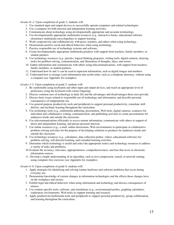*Grades K–2:* Upon completion of grade 2, students will:

- 1. Use standard input and output devices to successfully operate computers and related technologies.
- 2. Use a computer for both directed and independent learning activities.
- 3. Communicate about technology using developmentally appropriate and accurate terminology.
- 4. Use developmentally appropriate multimedia resources (e.g., interactive books, educational software, elementary multimedia encyclopedias) to support learning.
- 5. Work cooperatively and collaboratively with peers, teachers, and others when using technology.
- 6. Demonstrate positive social and ethical behaviors when using technology.
- 7. Practice responsible use of technology systems and software.
- 8. Create developmentally appropriate multimedia products with support from teachers, family members, or student partners.
- 9. Use technology resources (e.g., puzzles, logical thinking programs, writing tools, digital cameras, drawing tools) for problem solving, communication, and illustration of thoughts, ideas, and stories.
- 10. Gather information and communicate with others using telecommunications, with support from teachers, family members, or student partners.
- 11. Understand how 0s and 1s can be used to represent information, such as digital images and numbers.
- 12. Understand how to arrange (sort) information into useful order, such as a telephone directory, without using a computer (see Appendix for examples).

*Grades 3–5:* Upon completion of grade 5, students will:

- 1. Be comfortable using keyboards and other input and output devices, and reach an appropriate level of proficiency using the keyboard with correct fingering.
- 2. Discuss common uses of technology in daily life and the advantages and disadvantages those uses provide.
- 3. Discuss basic issues related to responsible use of technology and information, and describe personal consequences of inappropriate use.
- 4. Use general-purpose productivity tools and peripherals to support personal productivity, remediate skill deficits, and facilitate learning throughout the curriculum.
- 5. Use technology tools (e.g., multimedia authoring, presentation, Web tools, digital cameras, scanners) for individual and collaborative writing, communication, and publishing activities to create presentations for audiences inside and outside the classroom.
- 6. Use telecommunications efficiently to access remote information, communicate with others in support of direct and independent learning, and pursue personal interests.
- 7. Use online resources (e.g., e-mail, online discussions, Web environments) to participate in collaborative problem-solving activities for the purpose of developing solutions or products for audiences inside and outside the classroom.
- 8. Use technology resources (e.g., calculators, data collection probes, videos, educational software) for problem-solving, self-directed learning, and extended learning activities.
- 9. Determine which technology is useful and select the appropriate tool(s) and technology resources to address a variety of tasks and problems.
- 10.Evaluate the accuracy, relevance, appropriateness, comprehensiveness, and bias that occur in electronic information sources.
- 11. Develop a simple understanding of an algorithm, such as text compression, search, or network routing, using computer-free exercises (see Appendix for examples).

*Grades 6–8:* Upon completion of grade 8, students will:

- 1. Apply strategies for identifying and solving routine hardware and software problems that occur during everyday use.
- 2. Demonstrate knowledge of current changes in information technologies and the effects those changes have on the workplace and society.
- 3. Exhibit legal and ethical behaviors when using information and technology and discuss consequences of misuse.
- 4. Use content-specific tools, software, and simulations (e.g., environmental probes, graphing calculators, exploratory environments, Web tools) to support learning and research.
- 5. Apply productivity/multimedia tools and peripherals to support personal productivity, group collaboration, and learning throughout the curriculum.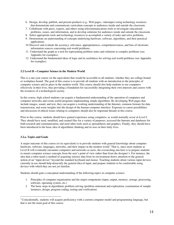- 6. Design, develop, publish, and present products (e.g., Web pages, videotapes) using technology resources that demonstrate and communicate curriculum concepts to audiences inside and outside the classroom.
- 7. Collaborate with peers, experts, and others using telecommunications tools to investigate educational problems, issues, and information, and to develop solutions for audiences inside and outside the classroom.
- 8. Select appropriate tools and technology resources to accomplish a variety of tasks and solve problems.
- 9. Demonstrate an understanding of concepts underlying hardware, software, algorithms, and their practical applications.
- 10.Discover and evaluate the accuracy, relevance, appropriateness, comprehensiveness, and bias of electronic information sources concerning real-world problems.
- 11. Understand the graph as a tool for representing problem states and solutions to complex problems (see Appendix for examples).
- 12. Understand the fundamental ideas of logic and its usefulness for solving real-world problems (see Appendix for examples).

#### **3.2 Level II—Computer Science in the Modern World**

This is a one-year course (or the equivalent) that would be accessible to all students, whether they are college-bound or workplace-bound. The goal of this course is to provide all students with an introduction to the principles of computer science and its place in the modern world. This course should also help students to use computers effectively in their lives, thus providing a foundation for successfully integrating their own interests and careers with the resources of a technological society.

In this course, high school students can acquire a fundamental understanding of the operation of computers and computer networks and create useful programs implementing simple algorithms. By developing Web pages that include images, sound, and text, they can acquire a working understanding of the Internet, common formats for data transmission, and some insights into the design of the human-computer interface. Exposure to career possibilities and discussion of ethical issues relating to computers should also be important threads in this course.

Prior to this course, students should have gained experience using computers, as would normally occur at Level I. They should have used, modified, and created files for a variety of purposes, accessed the Internet and databases for both research and communication, and used other tools such as spreadsheets and graphics. Finally, they should have been introduced to the basic idea of algorithmic thinking and its uses in their daily lives.

#### **3.2.a. Topics and Goals**

A major outcome of this course (or its equivalent) is to provide students with general knowledge about computer hardware, software, languages, networks, and their impact in the modern world.<sup>4</sup> That is, since most students at Level II will eventually encounter computers and networks as users, the overarching aim here is to prepare students to master computer science concepts from the user's point of view rather than from the designer's. For instance, the idea that a robot needs a method of acquiring sensory data from its environment draws attention to the general notion of an "input device" beyond the standard keyboard and mouse. Teaching students about various input devices currently in use should help demystify the general idea of input, and prepare students to be comfortable using devices with which they are not yet familiar.

Students should gain a conceptual understanding of the following topics in computer science:

- 1. Principles of computer organization and the major components (input, output, memory, storage, processing, software, operating system, etc.)
- 2. The basic steps in algorithmic problem-solving (problem statement and exploration, examination of sample instances, design, program coding, testing and verification)

 <sup>4</sup> Coincidentally, students will acquire proficiency with a current computer model and programming language, but that is not the main goal of this course.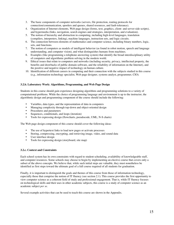- 3. The basic components of computer networks (servers, file protection, routing protocols for connection/communication, spoolers and queues, shared resources, and fault-tolerance).
- 4. Organization of Internet elements, Web page design (forms, text, graphics, client- and server-side scripts), and hypermedia (links, navigation, search engines and strategies, interpretation, and evaluation).
- 5. The notion of hierarchy and abstraction in computing, including high-level languages, translation (compilers, interpreters, linking), machine languages, instruction sets, and logic circuits.
- 6. The connection between elements of mathematics and computer science, including binary numbers, logic, sets, and functions.
- 7. The notion of computers as models of intelligent behavior (as found in robot motion, speech and language understanding, and computer vision), and what distinguishes humans from machines.
- 8. Examples (like programming a telephone answering system) that identify the broad interdisciplinary utility of computers and algorithmic problem solving in the modern world.
- 9. Ethical issues that relate to computers and networks (including security, privacy, intellectual property, the benefits and drawbacks of public domain software, and the reliability of information on the Internet), and the positive and negative impact of technology on human culture.
- 10. Identification of different careers in computing and their connection with the subjects studied in this course (e.g., information technology specialist, Web page designer, systems analyst, programmer, CIO).

#### **3.2.b. Laboratory Work: Algorithms, Programming, and Web Page Design**

Students in this course should gain experience designing algorithms and programming solutions to a variety of computational problems. While the choice of programming language and environment is up to the instructor, the algorithmic design and programming component of the course should include the following:

- Variables, data types, and the representation of data in computers
- Managing complexity through top-down and object-oriented design
- Procedures and parameters
- Sequences, conditionals, and loops (iteration)
- Tools for expressing design (flowcharts, pseudocode, UML, N-S charts)

The Web page design component of this course should cover the following ideas:

- The use of hypertext links to load new pages or activate processes
- Storing, compressing, encrypting, and retrieving image, video, and sound data
- User interface design
- Tools for expressing design (storyboard, site map)

#### **3.2.c. Context and Constraints**

Each school system has its own constraints with regard to student scheduling, availability of knowledgeable staff, and computer resources. Some schools may choose to begin by implementing an elective course that covers only a subset of the above concepts. We believe that, while such initial steps are valuable, they must nonetheless be identified as first steps toward the ultimate goal of a full course required of all students for graduation.

Finally, it is important to distinguish the goals and themes of this course from those of information technology, especially those that comprise the notion of IT fluency (see section 2.1). This course provides the first opportunity to view computer science as a coherent field of study and professional engagement. That is, while IT fluency focuses on technological skills and their uses in other academic subjects, this course is a study of computer science as an academic subject *per se*.

Several example activities that can be used to teach this course are shown in the Appendix.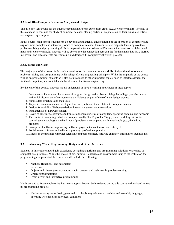#### **3.3 Level III—Computer Science as Analysis and Design**

This is a one-year course (or the equivalent) that should earn curriculum credit (e.g., science or math). The goal of this course is to continue the study of computer science, placing particular emphasis on its features as a scientific and engineering discipline.

In this course, high school students can go beyond a fundamental understanding of the operation of computers and explore more complex and interesting topics of computer science. This course also helps students improve their problem-solving and programming skills in preparation for the Advanced Placement A course. As in higher level math and science curricula, students will be able to see the connection between the fundamentals they have learned in Levels I and II to integrate programming and design with complex "real world" projects.

#### **3.3.a. Topics and Goals**

The major goal of this course is for students to develop the computer science skills of algorithm development, problem solving, and programming while using software engineering principles. While the emphasis of the course will be on programming, students will also be introduced to other important topics, such as interface design, the limits of computers, and societal and ethical issues of software engineering.

By the end of this course, students should understand or have a working knowledge of these topics:

- 1. Fundamental ideas about the process of program design and problem solving, including style, abstraction, and initial discussions of correctness and efficiency as part of the software design process.
- 2. Simple data structures and their uses
- 3. Topics in discrete mathematics: logic, functions, sets, and their relation to computer science
- 4. Design for usability: Web page design, interactive games, documentation
- 5. Fundamentals of hardware design
- 6. Levels of language, software, and translation: characteristics of compilers, operating systems, and networks
- 7. The limits of computing: what is a computationally "hard" problem? (e.g., ocean modeling, air traffic control, gene mapping) and what kinds of problems are computationally unsolvable (e.g., the halting problem)
- 8. Principles of software engineering: software projects, teams, the software life cycle
- 9. Social issues: software as intellectual property, professional practice
- 10.Careers in computing: computer scientist, computer engineer, software engineer, information technologist

#### **3.3.b. Laboratory Work: Programming, Design, and Other Activities**

Students in this course should gain experience designing algorithms and programming solutions to a variety of computational problems. While the choice of programming language and environment is up to the instructor, the programming component of the course should include the following:

- Methods (functions) and parameters<br>• Recursion
- **Recursion**
- Objects and classes (arrays, vectors, stacks, queues, and their uses in problem-solving)<br>• Graphics programming
- Graphics programming
- Event-driven and interactive programming

Hardware and software engineering has several topics that can be introduced during this course and included among its programming projects:

• Hardware and systems: logic, gates and circuits, binary arithmetic, machine and assembly language, operating systems, user interfaces, compilers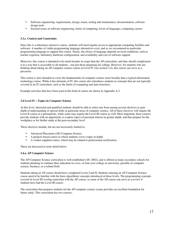- Software engineering: requirements, design, teams, testing and maintenance, documentation, software design tools
- Societal issues in software engineering, limits of computing, levels of languages, computing careers

#### **3.3.c. Context and Constraints**

Since this is a laboratory-intensive course, students will need regular access to appropriate computing facilities and software. A number of viable programming language alternatives exist, and so we recommend no particular programming language to support this course. Surely, the choice of language depends on local conditions, such as teacher expertise, laboratory hardware configuration, and availability and cost of software support.

Moreover, this course is intended to be much broader in scope than the AP curriculum, and thus should complement it in a way that is accessible to all students—not just those preparing for college. However, for students who are thinking about taking an AP computer science course at Level IV (see section 3.4), this course can serve as a precursor.

This course is also intended to cover the fundamentals of computer science more broadly than a typical information technology course. While it has elements of IT, this course also introduces students to concepts that are not typically covered in an IT curriculum, such as the limits of computing and data structures.

Example activities that have been used in this kind of course are shown in Appendix A.3.

#### **3.4 Level IV—Topics in Computer Science**

At this level, interested and qualified students should be able to select one from among several electives to gain depth of understanding or special skills in particular areas of computer science. All of these electives will require the Level II course as a prerequisite, while some may require the Level III course as well. Most important, these courses provide students with an opportunity to explore topics of personal interest in greater depth, and thus prepare for the workplace or for further study at the post-secondary level.

These electives include, but are not necessarily limited to:

- Advanced Placement (AP) Computer Science
- A projects-based course in which students cover a topic in depth.
- A vendor-supplied course, which may be related to professional certification.

These are discussed in more detail below.

#### **3.4.a. AP Computer Science**

The AP Computer Science curriculum is well established (AP, 2002), and is offered at many secondary schools for students planning to continue their education in a two- or four-year college or university, possibly in computer science, business, or a related field.

Students taking an AP course should have completed Levels I and II. Students entering an AP Computer Science course need to be familiar with the basic algorithmic concepts introduced at those levels. The programming concepts covered in Level III overlap somewhat with the AP course, so some of the AP course can serve as a review if students have had the Level III course.

The curriculum that prepares students for the AP computer science exams provides an excellent foundation for future study. This curriculum has two courses: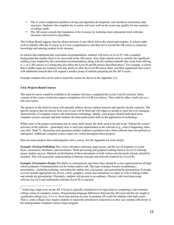- The A course emphasizes problem solving and algorithm development, and introduces elementary data structures. Students who complete the A course and score well on the exam may qualify for one-semester of college credit.
- The AB course extends the foundation of the A course by including more substantial work with data structures and recursive algorithms.

The College Board suggests that the choice between A and AB be left to the school and students. A school might wish to initially offer the A course as it is less comprehensive, and then move toward the AB course as instructor knowledge and entering student levels increase.

In schools that implement this curriculum recommendation, students will arrive at Level IV with a standard background that enables them to be successful in the AB course. Also, high schools need to consider the significant staffing issues implied by this curriculum recommendation, along with the staffing tradeoffs that result from offering  $0, 1,$  or  $2$  AP courses in a setting that also offers the Level II and III courses described above.<sup>5</sup> For example, a school that is neither large nor resource-rich may prefer to offer the Level III course alone, and then supplement that course with additional material that will support a smaller group of students preparing for the AP A exam.

Example modules that can be used to teach this course are shown in the Appendix A.4.

#### **3.4.b. Projects-Based Courses**

This kind of course would be available to all students who have completed the Levels I and II curricula. Some variants of this course would also require completion of Level III (see below). This could be either a half-year or a full-year course.

The projects in this kind of course will naturally address diverse student interests and specific faculty expertise. The specific projects that are chosen from year to year will be fluid and will adjust as needed to meet the ever-changing characteristics of computer science and information technology. Ideally, each project should build upon basic computer science concepts and help students develop professional skills in the application of technology.

While some of the project curriculum may be more skills-based, the skills need to be tied to the "behind-the-scenes" activities of the software—particularly how is each task implemented in the software (e.g., what is happening when you click "bold"?). Answering such questions enables students to problem-solve when software does not perform as anticipated. Additional computer science topics are visited throughout these projects.

Here are some projects that could populate such a course. See the Appendix for more details.

*Example: Desktop Publishing* This course introduces planning, page layout, and the use of templates to create flyers, documents, brochures, and newsletters. Word processing and graphical editing fluency (Level I) will help ensure student success. Methods of distribution of these documents in both written and electronic formats should be included. This will necessitate understanding of Internet concepts and network connectivity (Level II).

*Example: Presentation Design* The ability to communicate and share ideas should be a core requirement for all high school graduates. Communication can be written and/or oral. This type of project focuses on planning a presentation—including outlining, converting the outline into a document, and generating the presentation. Concepts covered include appropriate use of text, colors, graphics, sound, and animations on slides as well as linking within and outside the presentation. Ultimately, students will present to an audience. Fluency with word processing software (Level I) and multimedia concepts (Level II) is required.

 $<sup>5</sup>$  Achieving a high score on the AP A Exam is typically considered to be equivalent to completing a one-semester</sup> college course in computer science. Programming language differences between the AP exam and the one taught at a particular college (e.g., C++ vs. Java) may present an issue in granting AP credit for students with high scores. That is, some colleges may require students to repeat the introductory semester(s) so they can continue effectively in the undergraduate computer science major program.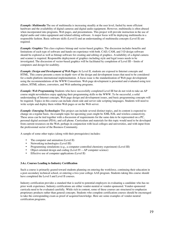*Example: Multimedia* The use of multimedia is increasing steadily at the user level, fueled by more efficient hardware and the availability of digital cameras and digital audio equipment. However, multimedia is often abused when incorporated into programs, Web pages, and presentations. This project will provide instruction in the use of digital audio and video equipment and related editing software. A major focus will be deploying multimedia in a responsible fashion. Basic software skills (Level I) and an understanding of multimedia concepts (Level II) are required.

*Example: Graphics* This class explores bitmap and vector-based graphics. The discussion includes benefits and limitations of each type of software and hands-on experience with both. CAD, CAM, and 3-D design software should be explored as well as bitmap software for creating and editing of graphics. Availability of a digital camera and scanner is required. Responsible deployment of graphics including style and legal issues needs to be investigated. The discussion of vector-based graphics will be facilitated by completion of Level III—limits of computers and design for usability.

*Example: Design and Development of Web Pages* At Level II, students are exposed to Internet concepts and HTML. This course presents a more in-depth view of the design and development issues that need to be considered for a multi-platform international implementation. A focus issue is the standardization of Web page development using the recommendations of the WWW Consortium. Web page development is presented and evaluated using text editors, HTML editors, converters, and Web authoring programs.

*Example: Web Programming* Students who have successfully completed Level III but do not wish to take an AP course might nevertheless enjoy applying their programming skills to the WWW. To be successful, a solid understanding of Internet concepts, Web page design and development issues, and basic programming concepts will be required. Topics in this course can include client-side and server-side scripting languages. Students will need to write scripts and deploy them within Web pages or on the Web server.

*Example: Emerging Technologies* This project can include several distinct topics, and its content is expected to change on a regular basis. An example topic for upcoming years might be XML/XSL and wireless connectivity. These areas can be tied together with a discussion of requirements for the same data to be represented on a PC, personal digital assistant (PDA), and cell phone. Curriculum and materials for this topic would need to be developed from current resources on the Web, perhaps in conjunction with local colleges and universities, and with input from the professional sector of the Business Community.

A sample of some other topics (along with their prerequisites) includes:

- The computer and animation (Level II)
- Networking technologies (Level III)
- Programming simulations (e.g., a computer-controlled chemistry experiment) (Level III)
- Object-oriented design and coding (Level IV—AP computer science)
- Effective use of computer applications (Level II)

#### **3.4.c. Courses Leading to Industry Certification**

Such a course is primarily geared toward students planning on entering the workforce, continuing their education in a post-secondary technical school, or entering a two-year college AAS program. Students taking this course should have completed the Level I and Level II courses.

Industry certification provides a standard that is useful to potential employers in evaluating a candidate who has no prior work experience. Industry certifications are either vendor-neutral or vendor-sponsored. Vendor-sponsored curricula need to be evaluated carefully. While rich in content, some of these courses are structured to emphasize proprietary products rather than general concepts. Students who complete certification courses should be encouraged to take the corresponding exam as proof of acquired knowledge. Here are some examples of vendor-neutral certification programs.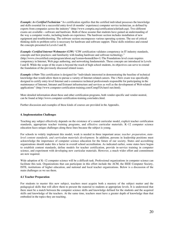*Example: A+ Certified Technician* "A+ certification signifies that the certified individual possesses the knowledge and skills essential for a successful entry-level (6 months' experience) computer service technician, as defined by experts from companies across the industry" (http://www.comptia.org/certification/a/default.asp). Two different exams are available—software and hardware. Both of these assume that students have gained an understanding of the way a computer works, including hands-on experience. The hardware section includes installation of new equipment and troubleshooting. The software section encompasses various operating systems. The use of critical thinking skills to problem-solve is necessary for hardware and software support. These skills reinforce and extend the concepts presented in Levels I and II.

*Example: Certified Internet Webmaster (CIW)* "CIW certification validates competency in IT industry standards, concepts and best practices; and familiarity with leading hardware and software technology." (http://www.ciwcertified.com/program/about.asp?comm=home&llm=1) The Foundations level exam requires competency in Internet, Web page authoring, and networking fundamentals. These concepts are introduced in Levels I and II. While the scope of the exam is beyond the reach of high school students, its objectives can serve to extend the foundation of the previously discussed related issues.

*Example: i-Net+* This certification is designed for "individuals interested in demonstrating the baseline of technical knowledge that would allow them to pursue a variety of Internet-related careers. The i-Net+ exam was specifically designed to certify entry-level Internet and e-commerce technical professionals responsible for participating in the maintenance of Internet, Intranet and Extranet infrastructure and services as well as the development of Web-related applications" (http://www.computer-certification-training.com/CompTIA/inet/i-net.html).

More detailed information about these and other certification programs, both vendor-specific and vendor-neutral, can be found at http://www.computer-certification-training.com/index.html.

Further discussion and examples of these kinds of courses are provided in the Appendix.

#### **4. Implementation Challenges**

Teaching any subject effectively depends on the existence of a sound curricular model, explicit teacher certification standards, appropriate teacher training programs, and effective curricular materials. K–12 computer science education faces unique challenges along these lines because the subject is young.

For schools to widely implement this model, work is needed in three important areas: *teacher preparation*, *statelevel content standards, and curriculum materials development*. In addition, persons in leadership positions must acknowledge the importance of computer science education for the future of our society. States and accrediting organizations should make this a factor in overall school accreditation. As indicated earlier, some states have begun to establish content standards, define models for teacher certification, provide in-service training in computer science, and experiment with developing new curricular materials. However, a much wider effort and commitment are now required.

Wide adoption of K–12 computer science will be a difficult task. Professional organizations in computer science can facilitate this task. Organizations that can participate in this effort include the ACM, the IEEE Computer Society, ISTE, institutions of higher education, and national and local teacher organizations. Below is a discussion of the main challenges as we see them.

#### **4.1 Teacher Preparation**

For students to master this new subject, teachers must acquire both a mastery of the subject matter and the pedagogical skills that will allow them to present the material to students at appropriate levels. It is understood that there must be a match between the computer science skills and knowledge defined for the students and the acquired skills and knowledge of the teachers. At the same time, teachers must have a greater depth of knowledge than that embodied in the topics they are teaching.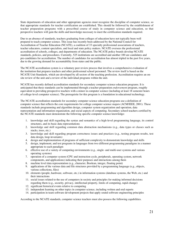State departments of education and other appropriate agencies must recognize the discipline of computer science, so that appropriate standards for teacher certification are established. This should be followed by the establishment of teacher preparation programs with a prescribed course of study in computer science and education, so that perspective teachers will gain the skills and knowledge necessary to meet the certification standards required.

Due to an absence of standards, teachers graduating from colleges of education have not typically been well prepared to teach computer science. This issue has recently been addressed by the National Council for Accreditation of Teacher Education (NCATE), a coalition of 33 specialty professional associations of teachers, teacher educators, content specialists, and local and state policy makers. NCATE oversees the professional accreditation of schools, colleges, and departments of education. The NCATE policy boards develop NCATE standards, policies, and procedures. Currently, 525 institutions are accredited and another 100 are candidates and pre-candidates for accreditation. The number of candidates for accreditation has almost tripled in the past five years, due to the growing demand for accountability from states and the public.

The NCATE accreditation system is a voluntary peer review process that involves a comprehensive evaluation of the institution that prepares teachers and other professional school personnel. The review itself is based on the NCATE Unit Standards, which are developed by all sectors of the teaching profession. Accreditation requires an onsite review of the unit and a review of the individual programs within the unit.

NCATE has recently defined accreditation standards for secondary computer science education programs. It is anticipated that these standards can be implemented through a teacher preparation *endorsement* program, roughly equivalent to providing prospective teachers with a minor in computer science (including at least 18 semester hours of college-level computer science). The prerequisite for this program is a foundation in educational technology.

The NCATE accreditation standards for secondary computer science education programs use a definition of computer science that reflects the core requirements for college computer science majors (ACM/IEEE, 2001). These standards include programming and algorithm design, computer system organization and operation, data representation and information organization, and social aspects of computing. Secondary school teachers certified by the NCATE standards must demonstrate the following specific computer science knowledge:

- 1. knowledge and skill regarding the syntax and semantics of a high-level programming language, its control structures, and its basic data representations
- 2. knowledge and skill regarding common data abstraction mechanisms (e.g., data types or classes such as stacks, trees, etc.)
- 3. knowledge and skill regarding program correctness issues and practices (e.g., testing program results, test data design, loop invariants)
- 4. design and implementation of programs of sufficient complexity to demonstrate knowledge and skills
- 5. design, implement, and test programs in languages from two different programming paradigms in a manner appropriate to each paradigm
- 6. effective use of a variety of computing environments (e.g., single- and multi-user systems and various operating systems)
- 7. operation of a computer system (CPU and instruction cycle, peripherals, operating system, network components, and applications) indicating their purposes and interactions among them
- 8. machine level data representation (e.g., character, Boolean, integer, floating point)
- 9. applications of the various data and file structures provided by a programming language (e.g., objects, various collections, files)
- 10. elements (people, hardware, software, etc.) in information systems (database systems, the Web, etc.) and their interactions
- 11. social issues related to the use of computers in society and principles for making informed decisions regarding them (e.g., security, privacy, intellectual property, limits of computing, rapid change)
- 12. significant historical events relative to computing
- 13. independent learning on other topics in computer science, including written and oral reports
- 14. participation in team software development projects that apply sound software engineering principles

According to the NCATE standards, computer science teachers must also possess the following capabilities.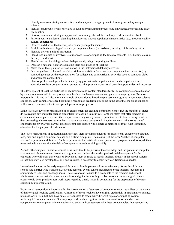- 1. Identify resources, strategies, activities, and manipulatives appropriate to teaching secondary computer science
- 2. Plan lessons/modules/courses related to each of: programming process and knowledge/concepts, and issue examination
- 3. Develop assessment strategies appropriate to lesson goals and the need to provide student feedback
- 4. Perform course and lesson planning that addresses student population characteristics (e.g., academic ability, cultural experience)
- 5. Observe and discuss the teaching of secondary computer science
- 6. Participate in the teaching of secondary computer science (lab assistant, tutoring, mini-teaching, etc.)
- 7. Plan and deliver a unit of instruction
- 8. Plan direct instruction involving simultaneous use of computing facilities by students (e.g., holding class in the lab, closed labs)
- 9. Plan instruction involving students independently using computing facilities
- 10. Develop a personal plan for evaluating their own practice of teaching
- 11. Make use of their plan for self-evaluation in the instructional delivery activities
- 12. Discuss guidance roles and possible enrichment activities for secondary computer science students (e.g., computing career guidance, preparation for college, and extracurricular activities such as computer clubs and organized competitions)
- 13. Plan for professional growth after identifying professional computer science and computer science education societies, organizations, groups, etc. that provide professional growth opportunities and resources

The development of teaching certification requirements and content standards for K–12 computer science education by the various states will in turn prompt the schools to implement relevant computer science programs. But most importantly, this step will also motivate schools of education to introduce pre-service programs in computer science education. With computer science becoming a recognized academic discipline in the schools, schools of education will become more motivated to set up such pre-service programs.

Some states already offer certification or an endorsement for teaching computer science. But the majority of states do not require any computer science credentials for teaching this subject. For those states that offer teachers an endorsement in computer science, their requirements vary widely; some require teachers to have a background in data processing while others require them to have a business background. Another concern is that some states' endorsements cover a very narrow aspect of computer science while others combine the subject with technology education for the purpose of certification.

The states' departments of education should review their licensing standards for professional educators so that they recognize and support computer science as a distinct discipline. The meaning of the term "teacher of computer science" requires clear definition. As the requirements for certification and pre-service programs are developed, they must maintain the view that the field of computer science is evolving rapidly.

As with other subjects, in-service education is important to help current teachers adopt and integrate new computer science curriculum elements. In-service programs must deliver the needed professional development for the educators who will teach these courses. Provisions must be made to retrain teachers already in the school systems, so that they may also develop the skills and knowledge necessary to obtain new certifications as needed.

In-service education at the early stages of this curriculum implementation can take many forms. In addition to school- and district-wide workshops, state and regional events can be organized to bring teachers together as a community to learn and exchange ideas. These events can be used to disseminate to the teachers and school administrators new curricular recommendations and guidelines as they evolve. Another important goal of such events would be to provide short workshops regarding timely issues in computing for the preparation of the new curriculum implementation.

Professional recognition is important for the current cohort of teachers of computer science, regardless of the nature of their original teaching certification. Almost all of these teachers have original credentials in mathematics, science, business, or English, but they have since self-educated to teach many different types of computing courses, including AP computer science. One way to provide such recognition is for states to develop standard core competencies for computer science teachers and endorse those teachers with these competencies, thus recognizing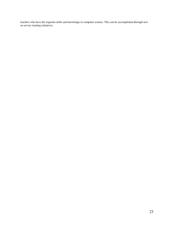teachers who have the requisite skills and knowledge in computer science. This can be accomplished through new in-service training initiatives.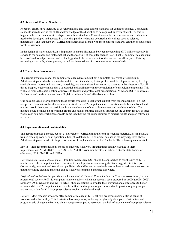#### **4.2 State-Level Content Standards**

Recently, efforts have increased to develop national and state content standards for computer science. Curriculum standards serve to define the skills and knowledge of the discipline to be acquired by every student. For this to happen, school curricula must be aligned with these standards. Content standards for computer science education need to be developed and adopted in a way that parallels what has occurred in disciplines such as science, mathematics, and language arts. Curriculum frameworks aligned with these content standards can then be developed for the classroom.

In the design of state standards, it is important to ensure distinction between the teaching of IT skills (especially in service to the sciences and mathematics) and the teaching of computer science itself. That is, computer science must be considered as subject matter and technology should be viewed as a tool that cuts across all subjects. Existing technology standards, where present, should not be substituted for computer science standards.

#### **4.3 Curriculum Development**

This report presents a model for computer science education, but not a complete "deliverable" curriculum. Additional steps need to be taken to formulate content standards, define professional development needs, develop curriculum (textbooks and laboratory materials), and disseminate information to students in the classroom. For all this to happen, teachers must play a substantial and leading role in the formulation of curriculum components. This will also require the participation of university faculty and professional organizations (ACM and ISTE) to serve as facilitators and guide a process that will yield a deliverable and effective curriculum.

One possible vehicle for mobilizing these efforts would be to seek grant support from federal agencies (e.g., NSF) and private foundations. Ideally, a summer institute in K–12 computer science education could be established and teachers would be chosen to participate in the development of curriculum content and teaching modules. The institute could be made up of working groups and held at multiple locations throughout the country for two to three weeks each summer. Participants would come together the following summer to discuss results and plan follow-up activities.

#### **4.4 Implementation and Sustainability**

This report proposes a model, but not a "deliverable" curriculum in the form of teaching materials, lesson plans, a trained teaching cohort, or an operational budget to deliver K–12 computer science in the way suggested above. Additional steps are needed to begin this process of implementation in K–12 schools. The following are essential.

*Buy-in*—these recommendations should be endorsed widely by organizations that have a stake in their implementation: ACM SIGCSE, ISTE SIGCS, ASCD curriculum directors in school districts, state boards of education, NEA, NASSP, and NSBA.

*Curriculum and course development*—Funding sources like NSF should be approached to assist teams of K–12 teachers and other computer science educators to develop pilot courses along the lines suggested in this report. Concurrently, textbook and Web-based publishers should be encouraged to invest in these experimental courses, so that the resulting teaching materials can be widely disseminated and used elsewhere.

*Professional societies*—Support the establishment of a "National Computer Science Teachers Association," a new professional society for K–12 computer science teachers, which has recently been proposed by ACM (ACM, 2003). Similarly, ACM SIGCSE and ISTE's NECC should continue to broaden their missions and conferences to better accommodate K–12 computer science teachers. State and regional organizations should provide ongoing support and collaboration for K–12 computer science teachers at the local level.

*Culture—*Most teachers who now offer computer science in K–12 schools are experiencing a strong sense of isolation and vulnerability. This frustration has many roots, including the glacially slow pace of attitudinal and programmatic change, the battle to obtain adequate computing resources, the lack of acceptance of computer science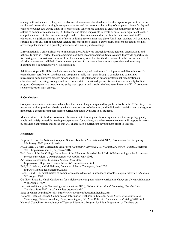among math and science colleagues, the absence of state curricular standards, the shortage of opportunities for inservice and pre-service training in computer science, and the unusual vulnerability of computer science faculty and courses to budget cuts during times of fiscal restraint. All of these combine to create an atmosphere in which a culture of computer science among K–12 teachers is almost impossible to create or sustain at a significant level. If computer science is to become a meaningful and effective academic culture within the mainstream of K–12 education, a significant change in all of these inhibiting factors must take place. Until then, teachers will continue to struggle to keep any sort of computer science presence in their school's curriculum, and schools that do not now offer computer science will probably never consider making such a change.

Dissemination is a critical first step to implementation. Follow-up through local and regional organizations and national forums will further the implementation of these recommendations. Such events will provide opportunities for sharing and discussion of successful implementations, as well as for the discussion of problems encountered. In addition, these events will help further the recognition of computer science as an appropriate and necessary discipline for a comprehensive K–12 curriculum.

Additional steps will still be needed to sustain this work beyond curriculum development and dissemination. For example, new certification standards and programs usually must pass through a complex and sometimes bureaucratic administrative process before adoption. But collaboration among professional organizations in education and computing, colleges and universities, state education departments, and teachers can help facilitate progress. Consequently, a coordinating entity that supports and sustains the long-term interests of K–12 computer science education must emerge.

#### **5. Conclusions**

Computer science is a mainstream discipline that can no longer be ignored by public schools in the  $21<sup>st</sup>$  century. This model curriculum provides a basis by which states, schools of education, and individual school districts can begin to implement a coherent computer science curriculum that is available to all students.

Much work needs to be done to translate this model into teaching and laboratory materials that are pedagogically viable and widely accessible. We hope corporations, foundations, and other external sources will support this work by providing appropriate incentives that will enable such a curriculum development effort to succeed.

#### **References**

- Proposal to form the National Computer Science Teachers Association (NCSTA), Association for Computing Machinery, 2003 (unpublished).
- ACM/IEEE-CS Joint Curriculum Task Force. *Computing Curricula 2001: Computer Science Volume*. December 2001. http://www.acm.org/sigcse/cc2001/
- Task Force of the Pre College Committee of the Education Board of the ACM. ACM model high school computer science curriculum. *Communications of the ACM*, May 1993.
- *AP Course Description: Computer Science*. May 2002. http://www.collegeboard.com/ap/students/compsci/index.html
- Bell, T., I. Witten, and M. Fellows, *Computer Science Unplugged*, June 2002.

http://ww.unplugged.canterbury.ac.nz

- Deek, F. and H. Kimmel. Status of computer science education in secondary schools. *Computer Science Education* 9,2, August 1999.
- Gal-Ezer, J. and D. Harel. Curriculum for a high school computer science curriculum. *Computer Science Education 9*(2), August 1999.
- International Society for Technology in Education (ISTE), *National Educational Technology Standards for Teachers,* June 2002. http://www.iste.org/standards/

State of Maine Learning Results, http://www.state.me.us/education/lres/lres.htm

National Research Council Committee on Information Technology Literacy, *Being Fluent with Information Technology*, National Academy Press, Washington, DC, May 1999. http://www.nap.edu/catalog/6482.html

National Council for Accreditation of Teacher Education. Program for Initial Preparation of Teachers of: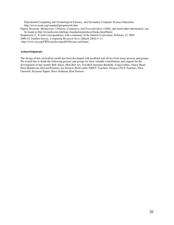Educational Computing and Technological Literacy, and Secondary Computer Science Education. http://www.ncate.org/standard/programstds.htm Papert, Seymour. *Mindstorms: Children, Computers, and Powerful Ideas* (1980), and much other information, can be found at http://el.media.mit.edu/logo-foundation/products/books.html#learn Stephenson, C. E-mail correspondence with a summary of the Ontario Curriculum. February 15, 2002.

2000–01 Taulbee Survey, *Computing Research News* (March 2002) 4–11.

http://www.cra.org/CRN/articles/march02/bryant.vardi.html

#### **Acknowledgments**

The design of this curriculum model has been developed with feedback and advice from many persons and groups. We would like to thank the following persons and groups for their valuable contributions and support for the development of this model: Bob Aiken, Moti Ben Ari, Tim Bell, Suzanne Buchelle, Craig Collins, Nancy Head, Peter Henderson, Howard Kimmel, Joe Kmoch, Rich Lamb, NJECC Teachers, Oregon CSTA Teachers, Nick Ourusoff, Seymour Papert, Steve Seidman, Ron Tenison.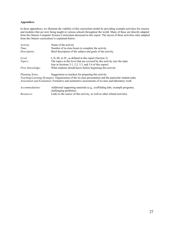#### Appendices

In these appendices, we illustrate the viability of this curriculum model by providing example activities for courses and modules that are now being taught in various schools throughout the world. Many of these are directly adapted from the Ontario Computer Science Curriculum discussed in this report. The layout of these activities (also adapted from the Ontario curriculum) is explained below:

| Activity:         | Name of the activity                                                                                                                                                                                       |
|-------------------|------------------------------------------------------------------------------------------------------------------------------------------------------------------------------------------------------------|
| Time:             | Number of in-class hours to complete the activity                                                                                                                                                          |
| Description:      | Brief description of the subject and goals of the activity.                                                                                                                                                |
| Level:            | I, II, III, or IV, as defined in this report (Section 3)                                                                                                                                                   |
| <i>Topics:</i>    | The topics at this level that are covered by this activity (see the topic                                                                                                                                  |
|                   | lists in Sections 3.1, 3.2, 3.3, and 3.4 of this report)                                                                                                                                                   |
| Prior Knowledge:  | What students should know before beginning this activity                                                                                                                                                   |
| Planning Notes:   | Suggestions to teachers for preparing this activity                                                                                                                                                        |
|                   | Teaching/Learning Strategies: Organization of the in-class presentation and the particular student tasks<br>Assessment and Evaluation: Formative and summative assessments of in-class and laboratory work |
| Accommodations:   | Additional supporting materials (e.g., scaffolding labs, example programs,<br>challenging problems)                                                                                                        |
| <i>Resources:</i> | Links to the source of this activity, as well as other related activities                                                                                                                                  |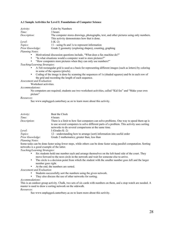#### A.1 Sample Activities for Level I: Foundations of Computer Science

| <i>Activity:</i> | Color by Numbers                                                                        |
|------------------|-----------------------------------------------------------------------------------------|
| Time:            | 3 hours                                                                                 |
| Description:     | The computer stores drawings, photographs, text, and other pictures using only numbers. |
|                  | This activity demonstrates how that is done.                                            |
| Level:           | $I(K-2)$                                                                                |
| <i>Topics:</i>   | 11—using 0s and 1s to represent information                                             |
| Prior Knowledge: | Grade 2 geometry (exploring shapes), counting, graphing                                 |
| $DI$ $NI_{2+1}$  |                                                                                         |

*Planning Notes*:

- Motivational discussion questions include, "What does a fax machine do?"
- "In what situations would a computer want to store pictures?"
- "How computers store pictures when they can only use numbers?"

#### *Teaching/Learning Strategies*:

- A 5x6 rectangular grid is used as a basis for representing different images (such as letters) by coloring in some of the squares (pixels).
- Coding of the image is done by scanning the sequences of 1s (shaded squares) and 0s in each row of the grid and recording the length of each sequence.

#### *Assessment and Evaluation*:

Worksheet activities.

#### *Accommodations*:

No computers are required; students use two worksheet activities, called "Kid fax" and "Make your own picture"

#### *Resources*:

See www.unplugged.canterbury.ac.nz to learn more about this activity.

| <i>Activity</i> : | Beat the Clock                                                                             |
|-------------------|--------------------------------------------------------------------------------------------|
| Time:             | 4 hours                                                                                    |
| Description:      | There is a limit to how fast computers can solve problems. One way to speed them up is     |
|                   | to use several computers to solve different parts of a problem. This activity uses sorting |
|                   | networks to do several comparisons at the same time.                                       |
| Level:            | I (Grades $K-2$ )                                                                          |
| <i>Topics:</i>    | 12—understanding how to arrange (sort) information into useful order                       |
| Prior Knowledge:  | Grade 2 mathematics; greater than, less than                                               |
| Planning Notes:   |                                                                                            |

Some tasks can be done faster using fewer steps, while others can be done faster using parallel computation. Sorting networks is a good example of the latter.

*Teaching/Learning Strategies*:

- Six students hold one number each and arrange themselves on the left-hand side of the court. They move forward to the next circle in the network and wait for someone else to arrive.
- The circle is a decision point from which the student with the smaller number goes left and the larger number goes right.
- At the end, the numbers are sorted.

*Assessment and Evaluation*:

- Students successfully sort the numbers using the given network.<br>• They also discuss the use of other networks for serting.
- They also discuss the use of other networks for sorting.

#### *Accommodations*:

This is an outdoor group activity. Chalk, two sets of six cards with numbers on them, and a stop watch are needed. A master is used to draw a sorting network on the sidewalk.

*Resources*:

See www.unplugged.canterbury.ac.nz to learn more about this activity.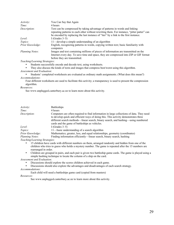| Activity:               | You Can Say that Again                                                                                                                                                                                        |
|-------------------------|---------------------------------------------------------------------------------------------------------------------------------------------------------------------------------------------------------------|
| Time:                   | 4 hours                                                                                                                                                                                                       |
| Description:            | Text can be compressed by taking advantage of patterns in words and linking<br>repeating patterns to each other without rewriting them. For instance, "pitter patter" can                                     |
|                         | be encoded by replacing the last instance of "tter" by a link to the first instance.                                                                                                                          |
| Level:                  | I (Grades $3-5$ )                                                                                                                                                                                             |
| Topics:                 | 11—develop a simple understanding of an algorithm                                                                                                                                                             |
| <b>Prior Knowledge:</b> | English, recognizing patterns in words, copying written text; basic familiarity with<br>computers                                                                                                             |
| Planning Notes:         | Images and text containing millions of pieces of information are transmitted on the<br>Internet every day. To save time and space, they are compressed into ZIP or GIF format<br>before they are transmitted. |

#### *Teaching/Learning Strategies*:

• Students successfully encode and decode text, using worksheets.<br>• They also discuss the kinds of texts and images that compress be

• They also discuss the kinds of texts and images that compress best/worst using this algorithm. *Assessment and Evaluation*:

• Students' completed worksheets are evaluated as ordinary math assignments. (What does this mean?) *Accommodations*:

Four different worksheets are used to facilitate this activity; a transparency is used to present the compression algorithm.

#### *Resources:*

See www.unplugged.canterbury.ac.nz to learn more about this activity.

| Activity:              | <b>Battleships</b>                                                                                                                                                                                                                                                                                                     |
|------------------------|------------------------------------------------------------------------------------------------------------------------------------------------------------------------------------------------------------------------------------------------------------------------------------------------------------------------|
| Time:                  | 4 hours                                                                                                                                                                                                                                                                                                                |
| Description:           | Computers are often required to find information in large collections of data. They need<br>to develop quick and efficient ways of doing this. This activity demonstrates three<br>different search methods—linear search, binary search, and hashing—using numbered<br>cards and the game of battleships as vehicles. |
| Level:                 | I (Grades $3-5$ )                                                                                                                                                                                                                                                                                                      |
| Topics:                | 11—basic understanding of a search algorithm                                                                                                                                                                                                                                                                           |
| Prior Knowledge:       | Mathematics; greater, less, and equal relationships, geometry (coordinates)                                                                                                                                                                                                                                            |
| <b>Planning Notes:</b> | Finding information efficiently—linear search, binary search, hashing                                                                                                                                                                                                                                                  |
| $T = 1 + T$            |                                                                                                                                                                                                                                                                                                                        |

*Teaching/Learning Strategies*:

- 15 children have cards with different numbers on them, arranged randomly and hidden from one of the children who tries to guess who holds a mystery number. The game is repeated after the 15 numbers are rearranged in order.
- Children are grouped in pairs, and each pair is given two battleship game cards. The game is played using a simple hashing technique to locate the column of a ship on the card.

#### *Assessment and Evaluation*:

- Discussions should explore the scores children achieved in each game.
- Discussions should also explore the advantages and disadvantages of each search strategy. *Accommodations*:

#### Each child will need a battleships game card (copied from masters)

#### *Resources*:

See www.unplugged.canterbury.ac.nz to learn more about this activity.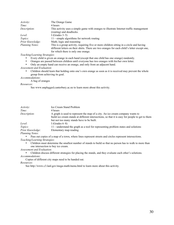| <i>Activity:</i> | The Orange Game                                                                                                     |
|------------------|---------------------------------------------------------------------------------------------------------------------|
| Time:            | 4 hours                                                                                                             |
| Description:     | This activity uses a simple game with oranges to illustrate Internet traffic management<br>(routing) and deadlocks. |
| Level:           | I (Grades $3-5$ )                                                                                                   |
| <i>Topics:</i>   | 11—simple algorithms for network routing                                                                            |
| Prior Knowledge: | Math; logic and reasoning                                                                                           |
| Planning Notes:  | This is a group activity, requiring five or more children sitting in a circle and having                            |
|                  | different letters on their shirts. There are two oranges for each child's letter except one,                        |
|                  | for which there is only one orange.                                                                                 |

*Teaching/Learning Strategies*:

- Every child is given an orange in each hand (except that one child has one orange) randomly.<br>• Oranges are passed between children until everyone has two oranges with his/her own letter
- Oranges are passed between children until everyone has two oranges with his/her own letter.<br>• Only an empty hand can receive an orange, and only from an adiacent hand.
- Only an empty hand can receive an orange, and only from an adjacent hand.

*Assessment and Evaluation*:

• Children should learn that holding onto one's own orange as soon as it is received may prevent the whole group from achieving its goal.

*Accommodations*:

A bag of oranges

*Resources*:

See www.unplugged.canterbury.ac.nz to learn more about this activity.

| <i>Activity</i> :      | <b>Ice Cream Stand Problem</b>                                                                  |
|------------------------|-------------------------------------------------------------------------------------------------|
| Time:                  | 4 hours                                                                                         |
| Description:           | A graph is used to represent the map of a city. An ice cream company wants to                   |
|                        | build ice cream stands at different intersections, so that it is easy for people to get to them |
|                        | but not too many stands have to be built.                                                       |
| Level:                 | I (Grades $6-8$ )                                                                               |
| Topics:                | 11—understand the graph as a tool for representing problem states and solutions                 |
| Prior Knowledge:       | Elementary map reading                                                                          |
| <b>Planning Notes:</b> |                                                                                                 |

• Pass out copies of a map of a town, where lines represent streets and circles represent intersections. *Teaching/Learning Strategies*:

• Children must determine the smallest number of stands to build so that no person has to walk to more than one intersection to buy ice cream.

*Assessment and Evaluation*:

• Children discuss different strategies for placing the stands, and they evaluate each other's solutions. *Accommodations*:

Copies of different city maps need to be handed out.

*Resources*:

See http://www.c3.lanl.gov/mega-math/menu.html to learn more about this activity.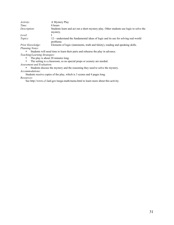| <i>Activity</i> : | A Mystery Play                                                                                     |
|-------------------|----------------------------------------------------------------------------------------------------|
| Time:             | 8 hours                                                                                            |
| Description:      | Students learn and act out a short mystery play. Other students use logic to solve the<br>mystery. |
| Level:            |                                                                                                    |
| <i>Topics:</i>    | 12—understand the fundamental ideas of logic and its use for solving real-world<br>problems        |
|                   |                                                                                                    |

*Prior Knowledge:* Elements of logic (statements, truth and falsity), reading and speaking skills. *Planning Notes*:

• Students will need time to learn their parts and rehearse the play in advance.

*Teaching/Learning Strategies*:

• The play is about 20 minutes long.

• The setting is a classroom, so no special props or scenery are needed.

*Assessment and Evaluation*:

• Students discuss the mystery and the reasoning they used to solve the mystery. *Accommodations*:

Students receive copies of the play, which is 3 scenes and 4 pages long.

*Resources*:

See http://www.c3.lanl.gov/mega-math/menu.html to learn more about this activity.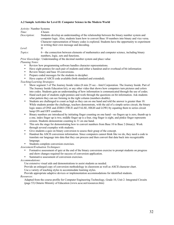#### A.2 Sample Activities for Level II: Computer Science in the Modern World

| <i>Activity</i> : Number Systems |                                                                                                                                                                                                                                                                                                                                                  |
|----------------------------------|--------------------------------------------------------------------------------------------------------------------------------------------------------------------------------------------------------------------------------------------------------------------------------------------------------------------------------------------------|
| Time:                            | 4 hours                                                                                                                                                                                                                                                                                                                                          |
| Description:                     | Students develop an understanding of the relationship between the binary number system and<br>computer logic. Also, students learn how to convert Base 10 numbers into binary and vice versa.<br>Character representation of binary codes is explored. Students have the opportunity to experiment<br>in writing their own message and decoding. |
| Level:                           | Н                                                                                                                                                                                                                                                                                                                                                |
| Topics:                          | 6—the connection between elements of mathematics and computer science, including binary<br>numbers, logic, sets and functions.                                                                                                                                                                                                                   |

*Prior Knowledge*: Understanding of the decimal number system and place value *Planning Notes*:

- Review how programming software handles character representations.<br>• Have eight pennies for each pair of students and either a handout and/o
- Have eight pennies for each pair of students and either a handout and/or overhead of bit information<br>• Review hinary and base 10 conversions
- Review binary and base 10 conversions.
- Prepare coded messages for the students to decipher.
- Have copies of ASCII code available (both standard and extended).

*Teaching/Learning Strategies:*

- Show segment 3 of The Journey Inside video (8 min 25 sec—Intel Corporation. The Journey Inside. Part of The Journey Inside Education kit), or any other video that shows how computers turn pictures and colors into codes. Students gain an understanding of how information is communicated through the use of codes.
- Hand each pair of students eight pennies and work through the questions on bit information. Ask students what pattern they can see forming in the right column (numbers double).
- Students are challenged to count as high as they can on one hand and told the answer is greater than 10. While students ponder the challenge, teachers demonstrate, with the aid of a simple series circuit, the binary logic states of ONE and ZERO (TRUE and FALSE, HIGH and LOW) by equating them to series circuit lamp ON and OFF condition.
- Binary numbers are introduced by initiating finger counting on one hand—no fingers up is zero, thumb up is a one, index finger up is two, middle finger up is a four, ring finger is eight, and pinkie finger represents sixteen. Students demonstrate counting to 31 on one hand.
- This sets the stage for demonstrating how to convert numbers from Base 10 to Base 2 (binary). Work through several examples with students.
- Give students a quiz on binary conversion to assess their grasp of the concept.
- Handout the ASCII conversion information. Since computers cannot think like we do, they need a code to translate our language into data that they can process and then convert that data back into recognizable language.
- Students complete conversion exercises.

*Assessment/Evaluation Techniques*:

- Formative assessment of quiz at the end of the binary conversion exercise to prompt students on progress and show changes required for success of conversion application.
- Summative assessment of conversion exercises

*Accommodations*:

Use extensive visual aids and demonstrations to assist students as needed.

Provide an enlarged copy of conversion methodology in classroom as well as ASCII character chart.

Use a variety of teaching styles to accommodate learning styles.

Provide appropriate adaptive devices or implementation accommodations for identified students.

#### *Resources*:

Adapted from the course profile for Computer Engineering Technology, Grade 10, Unit 2: Integrated Circuits (page 53) Ontario Ministry of Education (www.acse.net/resources.htm)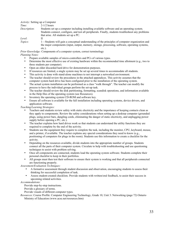*Activity*: Setting up a Computer *Time*: 2-1/2 hours *Description*: Students set up a computer including installing available software and an operating system. Students connect, configure, and test all peripherals. Finally, students troubleshoot any problems that arise. All students set up a PC. *Level*: II *Topics*: 1—Students will gain a conceptual understanding of the principles of computer organization and the major components (input, output, memory, storage, processing, software, operating systems, etc.).

*Prior Knowledge:* Components of a computer system, correct terminology *Planning Notes:*

- Prepare available samples of micro-controllers and PCs of various types.
- Determine the most effective use of existing hardware within the recommended time allotment (e.g., two to three students per computer).
- Open an older discarded hard drive for demonstration purposes.
- If resources are limited, a single system may be set up several times to accommodate all students.
- This activity is done with stand-alone machines to not interrupt a networked environment.
- The teacher should review the procedures in the attached appendices. This activity assumes that the computer system hard drive has been configured prior to the installation of the operating system.
- The actual system installation can be performed as a class "walk through". The teacher can modify the process to have the individual groups perform the set-up task.
- The teacher should review the disk partitioning, formatting, scandisk operations, and information available in the Help files of the operating system (see Resources).
- Inventory the operating system CD-ROM and software key.
- Ensure all software is available for the full installation including operating systems, device drivers, and application software.

*Teaching/Learning Strategies:*

- Teachers and students review safety with static electricity and the importance of keeping contacts clean as they apply to components. Review the safety considerations when setting up a desktop computer (grounded plugs, using power bars, dangling cords, eliminating the danger of static electricity, and unplugging power supply before opening a PC, etc.).
- The teacher explains how hard drives work so that students can understand the utility functions they are required to complete by the end of the activity.
- Students use the equipment they require to complete the task, including the monitor, CPU, keyboard, mouse, and a printer, if available. The teacher explains any special considerations they need to know (e.g., positioning of computers for plugs in the room). Students use this information to create a checklist for the activity.
- Depending on the resources available, divide students into the appropriate number of groups. Students connect all the parts of their computer system. Circulate to help with troubleshooting and use questioning techniques to assist with problem solving.
- Once all components are connected, students load the operating system software. Students complete their personal checklist to keep in their portfolios.
- All groups must then test their software to ensure their system is working and that all peripherals connected are functioning properly.

*Assessment/Evaluation Techniques:*

- A formative assessment through student discussion and observation, encouraging students to assess their thinking for successful completion of task.
- Assess student-created checklists. Provide students with written/oral feedback, to assist their success in upcoming related activities.

#### *Accommodations:*

Provide step-by-step instructions.

Provide a glossary of terms.

Provide visuals of different computer types.

*Resources*: Course Profile: Computer Engineering Technology, Grade 10, Unit 3: Networking (page 72) Ontario Ministry of Education (www.acse.net/resources.htm)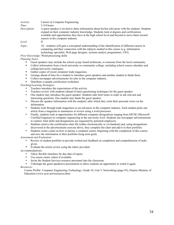| Activity:<br>Time:<br>Description: | Careers in Computer Engineering<br>$3-3/4$ hours<br>A guest speaker is invited to share information about his/her job/career with the students. Students                                                                       |
|------------------------------------|--------------------------------------------------------------------------------------------------------------------------------------------------------------------------------------------------------------------------------|
|                                    | expand on their computer industry knowledge. Students look at degrees and certifications<br>available and opportunities they have at the high school level and beyond to move them toward<br>careers in the computer industry. |
| Level:                             | Н                                                                                                                                                                                                                              |
| Topic:                             | 10—students will gain a conceptual understanding of the identification of different careers in<br>computing and their connection with the subjects studied in this course (e.g. information                                    |

technology specialist, Web page designer, systems analyst, programmer, CIO).

*Prior Knowledge*: Word-processing skills

#### *Planning Notes*:

- Guest speakers may include the school sysop, board technician, or someone from the local community.
- Collect information from a local university or community college, including school course calendars and college/university catalogues.
- Gather copies of recent computer trade magazines.
- Arrange ahead of time for a student to introduce guest speakers and another student to thank them.
- Collect newspaper advertisements for jobs in the computer industry.
- Distribute a sample certification worksheet

#### *Teaching/Learning Strategies*:

- Teachers introduce the expectations of the activity.
- Teachers review with students (ahead of time) questioning techniques for the guest speaker.<br>• One student may introduce the guest speaker. Students take brief notes in order to ask releva
- One student may introduce the guest speaker. Students take brief notes in order to ask relevant and interesting questions. One student may thank the guest speaker.
- Discuss the speaker information with the students, after which they write their personal views on the information.
- Students look through trade magazines to see advances in the computer industry. Each student picks one article from a magazine to summarize or review using a word processor.
- Finally, students look at opportunities for different computer designations ranging from MCSE (Microsoft Certified Engineer) to computer engineering at the university level. Students use newspaper advertisements to explore what skills and designations are requested by potential employers.
- Students retrieve the certification chart file (either electronically or via handout) and, using designations discovered in the advertisement exercise above, they complete the chart and add it to their portfolio.
- Students create a plan on how to pursue a computer career, beginning with the completion of this course, and save the information in their portfolio (long-term goal).

*Assessment and Evaluation*:

- Review of student portfolio to provide written/oral feedback on completion and comprehension of tasks given.
- Evaluate the article review using the rubric provided.

#### *Accommodations*:

- Allow flexible timelines for due date of report.
- Use career center videos if available.
- Invite the Student Services resource personnel into the classroom.<br>• Videotane the quest speaker(s) presentation to allow students an o
- Videotape the guest speaker(s) presentation to allow students an opportunity to watch it again.

#### *Resources*:

Course Profile: Computer Engineering Technology, Grade 10, Unit 3: Networking (page 93), Ontario Ministry of Education (www.acse.net/resources.htm)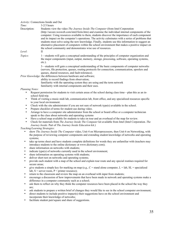#### *Activity*: Connections Inside and Out

| Time: | $3-2/3$ hours |
|-------|---------------|
|-------|---------------|

Description: Students view the video *The Journey Inside The Computer* (from Intel Corporation

(http://secure.wesweb.com/intel/form.htm) and examine the individual internal components of the computer. Using resources available to them, students discover the importance of each component and its impact on the computer's operations. The activity culminates with a series of problems that students must solve using the new knowledge. Finally, students use this information to suggest an alternative placement of computers within the school environment that makes a positive impact on the school community and demonstrates wise use of resources.

*Level*: II

*Topics*: 1—students will gain a conceptual understanding of the principles of computer organization and the major components (input, output, memory, storage, processing, software, operating systems, etc.).

> 3—students will gain a conceptual understanding of the basic components of computer networks (servers, file protection, queues, routing protocols for connection, communication, spoolers and queues, shared resources, and fault-tolerance).

*Prior Knowledge*: the differences between hardware and software;

- ability to record findings from observation;
	- familiarity with the operating system they are using and the term network
	- familiarity with internal components and their uses.

*Planning Notes:*

- Request permission for students to visit certain areas of the school during class time—plan this as an inschool field trip.
- Think of visiting a music midi lab, communication lab, front office, and any specialized resources specific to your local environment.
- Check with the site administrator if you are not sure of network type(s) available in the school.
- Prepare checklist of terms for student use during video.
- Arrange to have a computer site administrator from the school or board office or a computer technician speak to the class about networks and operating systems
- Have a school map available for students to take on tour and an overhead of the map for review.
- Check for materials from *The Journey Inside The Computer* kit available from Intel (Intel Corporation. *The Journey Inside.* Part of *The Journey Inside Education* kit.)

*Teaching/Learning Strategies*:

- show *The Journey Inside The Computer* video, Unit 4 on Microprocessors, then Unit 6 on Networking, with the purpose of reviewing computer components and extending student knowledge of networks and operating systems;
- take up terms sheet and have students complete definitions for words they are unfamiliar with (teachers may introduce students to the online dictionary at www.dictionary.com);
- share information on networks with students;
- indicate type(s) of networks currently used in the school environment;
- share information on operating systems with students;
- deliver short test on networks and operating systems;
- provide each student with a map of the school and explain tour route and any special routines required for secure areas;
- give students a simple key for marking on map (e.g.,  $C =$  stand alone computer,  $L =$  lab,  $SL =$  specialized lab,  $S =$  server room,  $P =$  printer resource);
- return to the classroom and review the map on an overhead with input from students;
- encourage a discussion of how improvements that have been made in network and operating systems make a difference in a computer community such as a school;
- ask them to reflect on why they think the computer resources have been placed in the school the way they are;
- ask students to prepare a written brief of changes they would like to see in the school computer environment;
- direct students to include positive impact(s) their suggestions have on the school environment and incorporate their knowledge of networks;
- facilitate student pair/square and share of suggestions.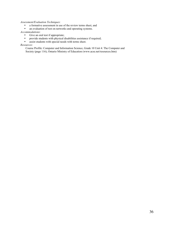#### *Assessment/Evaluation Techniques*:

- a formative assessment in use of the review terms sheet, and<br>• an evaluation of test on networks and operating systems
- an evaluation of test on networks and operating systems.

#### *Accommodations*:

- Give an oral test if appropriate;<br>• provide students with physical d
- provide students with physical disabilities assistance if required;<br>• assist students with special needs with terms sheet
- assist students with special needs with terms sheet.

#### *Resources*:

Course Profile: Computer and Information Science, Grade 10 Unit 4: The Computer and Society (page 116), Ontario Ministry of Education (www.acse.net/resources.htm)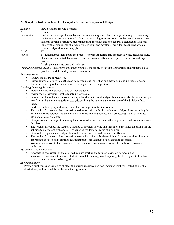#### A.3 Sample Activities for Level III: Computer Science as Analysis and Design

| Activity:    | New Solutions for Old Problems                                                                                                                                                                                                                                                                                                                                                                                                             |
|--------------|--------------------------------------------------------------------------------------------------------------------------------------------------------------------------------------------------------------------------------------------------------------------------------------------------------------------------------------------------------------------------------------------------------------------------------------------|
| Time:        | 5 hours                                                                                                                                                                                                                                                                                                                                                                                                                                    |
| Description: | Students examine problems that can be solved using more than one algorithm (e.g., determining<br>the factorial value of a number). Using brainstorming or other group problem-solving techniques,<br>students develop alternative algorithms using recursive and non-recursive techniques. Students<br>identify the components of a recursive algorithm and develop criteria for recognizing when a<br>recursive algorithm may be applied. |
| Level:       | Ш                                                                                                                                                                                                                                                                                                                                                                                                                                          |
| Topics:      | 1—fundamental ideas about the process of program design, and problem solving, including style,<br>abstraction, and initial discussions of correctness and efficiency as part of the software design<br>process.<br>2—simple data structures and their uses.                                                                                                                                                                                |

*Prior Knowledge and Skills*: use of problem-solving models, the ability to develop appropriate algorithms to solve problems, and the ability to write pseudocode.

#### *Planning Notes*:

Review the nature of recursion.

Gather examples of problems that can be solved using more than one method, including recursion, and determine which problems may be solved using a recursive algorithm.

#### *Teaching/Learning Strategies*:

- divide the class into groups of two or three students.
- review the brainstorming problem-solving technique.
- present a problem that can be solved using a familiar but complex algorithm and may also be solved using a less familiar but simpler algorithm (e.g., determining the quotient and remainder of the division of two integers).
- Students, in their groups, develop more than one algorithm for the solution.
- The teacher facilitates a class discussion to develop criteria for the evaluation of algorithms, including the efficiency of the solution and the complexity of the required coding. Both processing and user interface efficiencies are considered.
- Groups evaluate the algorithms using the developed criteria and share their algorithms and evaluations with the class.
- The teacher introduces the recursive method of problem solving and illustrates a recursive algorithm for the solution to a different problem (e.g., calculating the factorial value of a number).
- Groups develop a recursive algorithm to the initial problem and evaluate its efficiency.
- The teacher facilitates a class discussion to establish criteria for determining if a recursive algorithm is an appropriate solution and identifies additional problems that may be solved using recursion.
- Working in groups, students develop recursive and non-recursive algorithms for additional, assigned problems.

#### *Assessment and Evaluation*:

- A formative assessment of the assigned in-class work in the form of roving conferences, and
- a summative assessment in which students complete an assignment requiring the development of both a recursive and a non-recursive algorithm.

#### *Accommodations*:

Provide print copies of examples of algorithms using recursive and non-recursive methods, including graphic illustrations, and use models to illustrate the algorithms.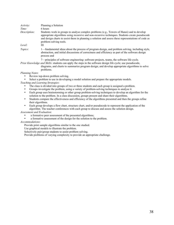| Activity:      | Planning a Solution                                                                                                                                                                                                                                                                                                            |
|----------------|--------------------------------------------------------------------------------------------------------------------------------------------------------------------------------------------------------------------------------------------------------------------------------------------------------------------------------|
| Time:          | 6 hours                                                                                                                                                                                                                                                                                                                        |
| Description:   | Students work in groups to analyse complex problems (e.g., Towers of Hanoi) and to develop<br>appropriate algorithms using recursive and non-recursive techniques. Students create pseudocode<br>and design charts to assist them in planning a solution and assess these representations of code as<br>problem-solving tools. |
| Level:         | Ш                                                                                                                                                                                                                                                                                                                              |
| <i>Topics:</i> | 1—fundamental ideas about the process of program design, and problem solving, including style,<br>abstraction, and initial discussions of correctness and efficiency as part of the software design<br>process and                                                                                                             |
|                | 7-principles of software engineering: software projects, teams, the software life cycle.                                                                                                                                                                                                                                       |
|                | Prior Knowledge and Skills: students can apply the steps in the software design life cycle; use pseudocode,                                                                                                                                                                                                                    |

diagrams, and charts to summarize program design; and develop appropriate algorithms to solve problems.

#### *Planning Notes*:

• Review top-down problem solving.<br>• Select a problem to use in developing.

• Select a problem to use in developing a model solution and prepare the appropriate models.

*Teaching and Learning Strategies*:

- The class is divided into groups of two or three students and each group is assigned a problem.
- Groups investigate the problem, using a variety of problem-solving techniques to analyse it.
- Each group uses brainstorming or other group problem-solving techniques to develop an algorithm for the solution to the problem. In a class discussion, groups present and share their algorithms.
- Students compare the effectiveness and efficiency of the algorithms presented and then the groups refine their algorithms.
- Each group develops a flow chart, structure chart, and/or pseudocode to represent the application of the algorithm. The teacher conferences with each group to discuss and assess the solution design.

#### *Assessment and Evaluation*:

- a formative peer assessment of the presented algorithms;
- a formative assessment of the design for the solution to the problem.

#### *Accommodations*:

Provide print sample algorithms similar to the one studied.

Use graphical models to illustrate the problem.

Selectively pair/group students to assist problem solving.

Provide problems of varying complexity to provide an appropriate challenge.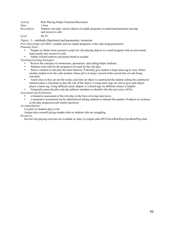*Activity*: Role Playing Helper Functions/Recursion *Time:* 1 hour *Description*: Students role play various objects of simple programs to understand parameter passing and recursive calls

*Level:* III, IV

*Topics:* 1—methods (functions) and parameters, recursion

*Prior Knowledge and Skills*: compile and run simple programs; write code using parameters. *Planning Notes*:

- Prepare or obtain from resources scripts for role playing objects in a small program with several nested (and usually also recursive) calls.
- Gather colored markers and poster board as needed.

*Teaching/Learning Strategies:*

- Review the concepts of constructors, parameters, and calling helper methods.
- Students read code for the program to be used for the role play.<br>Select a student to role play the main function. If desired give a
- Select a student to role play the main function. If desired, give student a large name tag to wear. Select another student to be the code monitor whose job is to keep a record of the current line of code being executed.
- Assist class as they act out the script, each time an object is constructed the student calling the constructor function picks a classmate to play the role of the object; if using name tags, be sure to give each objectplayer a name tag. Using different sized, shaped, or colored tags for different classes is helpful.
- Frequently pause the play and ask audience members to identify who the next actor will be.

*Assessment and Evaluation*:

- a formative assessment of the role play in the form of roving interviews;
- a summative assessment can be administered asking students to indicate the number of objects in existence as the play progressed and similar questions.

*Accommodations*:

Let pairs of students play a role.

Assign roles yourself giving simpler roles to students who are struggling.

*Resources*:

Several role playing exercises are available at: http://cs.colgate.edu/APCS/Java/RolePlays/JavaRolePlays.htm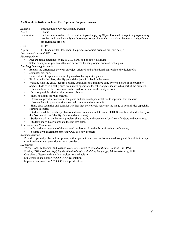#### A.4 Sample Activities for Level IV: Topics in Computer Science

| <i>Activity</i> :   | Introduction to Object Oriented Design                                                                                                                                                                                     |
|---------------------|----------------------------------------------------------------------------------------------------------------------------------------------------------------------------------------------------------------------------|
| Time:               | 3 hours                                                                                                                                                                                                                    |
| <i>Description:</i> | Students are introduced to the initial steps of applying Object Oriented Design to a programming<br>problem and practice applying those steps to a problem which may later be used as a significant<br>programming project |
| Level:              | III. IV                                                                                                                                                                                                                    |

*Topics:* 1—fundamental ideas about the process of object oriented program design

*Prior Knowledge and Skills*: none

*Planning Notes*:

- Prepare blank diagrams for use as CRC cards and/or object diagrams
- Select examples of problems that can be solved by using object oriented techniques.

*Teaching/Learning Strategies:*

- Explain the differences between an object oriented and a functional approach to the design of a
- computer program.
- Have a student explain how a card game (like blackjack) is played.
- Working with the class, identify potential objects involved in the game.
- Working with the class, identify possible operations that might be done by or to a card or one possible object. Students in small groups brainstorm operations for other objects identified as part of the problem.
- Illustrate how the two notations can be used to summarize the analysis so far.
- Discuss possible relationships between objects.
- Show notations for relationships.
- Describe a possible scenario in the game and use developed notations to represent that scenario.
- Have students in pairs describe a second scenario and represent it.
- Share class scenarios and consider whether they collectively represent the range of possibilities especially extreme scenarios.
- Students read the possible problems and select one on which to do an OOD. Students work individually on the first two phases (identify objects and operations).
- Students working on the same problem share results and agree on a "best" set of objects and operations.
- Students individually complete the last two steps.

*Assessment and Evaluation*:

- a formative assessment of the assigned in-class work in the form of roving conferences;
- a summative assessment applying OOD to a new problem

#### *Accommodations*:

Provide copies of problem descriptions, with important nouns and verbs indicated using a different font or type size. Provide written scenarios for each problem.

#### *Resources*:

Wirfs-Brock, Wilkerson, and Wiener, *Designing Object-Oriented Software*, Prentice Hall, 1990 Fowler, *UML Distilled: Applying the Standard Object Modeling Language*, Addison-Wesley, 1997. Overview of lesson and sample exercises are available at: http://max.cs.kzoo.edu/AP/OOD/OODPresentation/

http://max.cs.kzoo.edu/AP/OOD/OODSpecifications/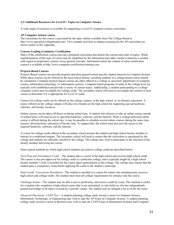#### A.5 Additional Resources for Level IV: Topics in Computer Science

A wide range of resources is available for supporting a Level IV computer science curriculum.

#### AP Computer Science course

The curriculum for this course is governed by the topic outline available from The College Board at http://www.apcentral.collegeboard.com/. Two example activities to enhance learning for the AP curriculum are shown earlier in this Appendix.

#### Courses Leading to Industry Certification

Many of the certification courses provide a prepared curriculum that details the content and order of topics. While implementation of this type of course may be simplified by the information provided, careful evaluation is needed with regard to proprietary content versus general concepts. Information about the content of some certification courses is available at http://www.computer-certification-training.com.

#### Projects-Based Courses

Projects-Based courses can provide targeted education geared toward specific student interests in Computer Science. While these courses can be offered by the local school district, enrolling students in a college-based course should be considered. Computer projects-based courses are often offered in a college or university department of computer science, information technology, or information systems. Computer-based programs of study at the college level are typically well established and provide a variety of current topics. Additionally, a student participating in a college computer course may be eligible for college credit. The secondary school will need to investigate the content of each course to determine if it is appropriate for Level IV study.

Courses for college credit can be offered on the college campus, at the high school, or via distance education. A course offered on the college campus will place less burden on the high school for supporting special hardware, software, and faculty resources.

Online courses can be taken off-hours or during school time. A student who chooses to take an online course outside of school hours will need access to specified hardware, software, and the Internet. When a college-delivered online course is offered during the school day, it may be possible to schedule several online courses during the same class session, allowing better utilization of faculty time. To support this, the school must also provide access to the required hardware, software, and the Internet.

A course for college credit offered at the secondary school permits the student and high school faculty member to interact in a traditional manner. The secondary school will need to ensure that the curriculum is sanctioned by the college and students are officially enrolled in the college. The college may wish to participate in the selection of the faculty member delivering the course.

Some typical methods by which high school students can achieve college credit are described below.

*Tech Prep and Articulation Credit*—The student takes a course at the high school and receives high school credit. The course is also pre-approved for college credit at a particular college, and is typically taught by a high school faculty member. Credit is awarded for the course upon matriculation at that college. The college may require that the student pass a competency exam before applying the credit to the student's transcript.

*Dual Credit / Concurrent Enrollment*—The student is enrolled in a course for which s/he simultaneously receives high school and college credit. The student must meet all college requirements for entrance into the course.

*Challenge Exams*—The student may be able to prove proficiency and receive credit by exam. This method is useful for a student who completes a high school course that is not articulated, or who believes s/he has independently gained knowledge of all topics covered by a specific course. The student may be charged a fee to sit for the exam.

*Advanced Placement* / *CLEP Test*—A student planning college study toward a career in Computer Science, Information Technology, or Engineering may wish to take the AP Exam in Computer Science. A student planning college study toward a career in Business may wish to take the CLEP Exam in Information Systems and Computer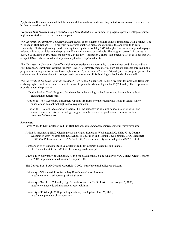Applications. It is recommended that the student determine how credit will be granted for success on the exam from his/her targeted institution.

*Programs That Provide College Credit to High School Students:* A number of programs provide college credit to high school students. Here are three examples:

*The University of Pittsburgh's College in High School* is one example of high schools interacting with a college. The "College in High School (CHS) program has offered qualified high school students the opportunity to earn University of Pittsburgh college credits during their regular school day." (Pittsburgh). Students are required to pay a reduced tuition to participate in the program. Financial Aid may be available. The program offers "12 courses to over 2,600 students in 100 high schools with 224 faculty" (Pittsburgh). There is an extensive list of colleges that will accept CHS credits for transfer at http://www.pitt.edu/~chsp/transfer.htm.

*The University of Cincinnati* also offers high school students the opportunity to earn college credit by providing a Post-Secondary Enrollment Options Program (PSEOP). Currently there are "39 high school students enrolled in the program, including one freshman, three sophomores, 13 juniors and 22 seniors" (Qualify). This program permits the student to enroll in the college for college credit only, or to enroll for both high school and college credit.

*The University of Northern Colorado* provides "High School Concurrent Credit, a program for Colorado Residents enabling high school Juniors and Seniors to earn college credit while in high school" (Colorado). Three options are provided under the program:

- "Option I—Fast Track Program: For the student who is a high school senior and has met high school graduation requirements.
- Option II—Post-Secondary Enrollment Options Program: For the student who is a high school junior or senior and has not met high school requirements.
- Option III—College Acceleration Program: For the student who is a high school junior or senior and wants to accelerate his or her college program whether or not the graduation requirements have been met." (Colorado)

#### *Resources:*

Seven Ways to Earn College Credit in High School, http://www.careersprep.com/html/sevenwys.html

- Arthur R. Greenberg, ERIC Clearinghouse on Higher Education Washington DC, BBB27915, George Washington Univ. Washington DC. School of Education and Human Development., ERIC Identifier: ED347956, Publication Date: 1992-03-00, http://www.ericfacility.net/ericdigests/ed347956.html
- Comparison of Methods to Receive College Credit for Courses Taken in High School, http://www.tea.state.tx.us/Cate/teched/collegecreditinhs.pdf
- Dawn Fuller, University of Cincinnati, High School Students: Do You Qualify for UC College Credit?, March 7, 2003, http://www.uc.edu/news/NR.asp?id=300
- The College Board, AP Central, Copyright © 2003, http://apcentral.collegeboard.com/
- University of Cincinnati, Post Secondary Enrollment Option Program, http://www.esit.uc.edu/pseop/psoDefault.aspx
- University of Northern Colorado, High School Concurrent Credit, Last Update: August 5, 2003, http://www.unco.edu/admissions/collegecredit.html
- University of Pittsburgh, College in High School, Last Update: June 25, 2003, http://www.pitt.edu/~chsp/index.htm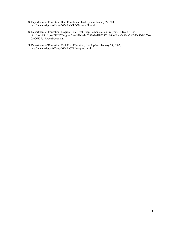- U.S. Department of Education, Dual Enrollment, Last Update: January 27, 2003, http://www.ed.gov/offices/OVAE/CCLO/dualenroll.html
- U.S. Department of Education, Program Title: Tech-Prep Demonstration Program, CFDA # 84.353, http://web99.ed.gov/GTEP/Program2.nsf/02cbabc638062ed2852563b6006ffeae/0c81ea75d203e37d85256a 01006527b1?OpenDocument
- U.S. Department of Education, Tech Prep Education, Last Update: January 28, 2002, http://www.ed.gov/offices/OVAE/CTE/techprep.html